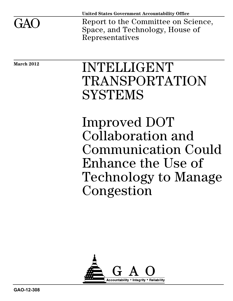

**United States Government Accountability Office**

Report to the Committee on Science, Space, and Technology, House of Representatives

**March 2012** 

# INTELLIGENT TRANSPORTATION **SYSTEMS**

Improved DOT Collaboration and Communication Could Enhance the Use of Technology to Manage Congestion

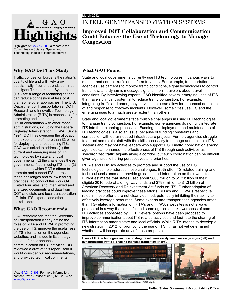

Highlights o[f GAO-12-308,](http://www.gao.gov/products/GAO-12-308) a report to the Committee on Science, Space, and Technology, House of Representatives

#### **Why GAO Did This Study**

Traffic congestion burdens the nation's quality of life and will likely grow substantially if current trends continue. Intelligent Transportation Systems (ITS) are a range of technologies that can reduce congestion at less cost than some other approaches. The U.S. Department of Transportation's (DOT) Research and Innovative Technology Administration (RITA) is responsible for promoting and supporting the use of ITS in coordination with other modal administrations, including the Federal Highway Administration (FHWA). Since 1994, DOT has overseen the allocation and expenditure of more than \$3 billion for deploying and researching ITS. GAO was asked to address (1) the current and emerging uses of ITS technologies by state and local governments, (2) the challenges these governments face in using ITS, and (3) the extent to which DOT's efforts to promote and support ITS address these challenges and follow leading practices. To conduct this work GAO visited four sites, and interviewed and analyzed documents and data from DOT and state and local transportation officials, ITS experts, and other stakeholders.

#### **What GAO Recommends**

GAO recommends that the Secretary of Transportation clearly define the roles of RITA and FHWA in promoting the use of ITS, improve the usefulness of ITS information on the agencies' websites, and include in its strategy plans to further enhance communication on ITS activities. DOT reviewed a draft of this report, said it would consider our recommendations, and provided technical comments.

Vie[w GAO-12-308.](http://www.gao.gov/products/GAO-12-308) For more information, contact David J. Wise at (202) 512-2834 or wised@gao.gov.

### INTELLIGENT TRANSPORTATION SYSTEMS

#### **Improved DOT Collaboration and Communication Could Enhance the Use of Technology to Manage Congestion**

#### **What GAO Found**

State and local governments currently use ITS technologies in various ways to monitor and control traffic and inform travelers. For example, transportation agencies use cameras to monitor traffic conditions, signal technologies to control traffic flow, and dynamic message signs to inform travelers about travel conditions. By interviewing experts, GAO identified several emerging uses of ITS that have significant potential to reduce traffic congestion. For example, integrating traffic and emergency services data can allow for enhanced detection of and response to roadway incidents. However, some cities use ITS and the emerging uses to a much greater extent than others.

State and local governments face multiple challenges in using ITS technologies to manage traffic congestion. For example, some agencies do not fully integrate ITS into their planning processes. Funding the deployment and maintenance of ITS technologies is also an issue, because of funding constraints and competition with other needed infrastructure projects. Further, agencies struggle to attract and retain staff with the skills necessary to manage and maintain ITS systems and may not have leaders who support ITS. Finally, coordination among agencies can enhance the effectiveness of ITS through such activities as synchronized traffic signals along a corridor, but such coordination can be difficult given agencies' differing perspectives and priorities.

RITA's and FHWA's activities to promote and support the use of ITS technologies help address these challenges. Both offer ITS-related training and technical assistance and provide guidance and information on their websites. FHWA estimates that states used about \$800 million to \$1.3 billion of their eligible 2010 federal aid highway funds and \$798 million to \$1.3 billion of American Recovery and Reinvestment Act funds on ITS. Further adoption of leading practices could improve these efforts. RITA's and FHWA's respective roles in these efforts are not clearly defined, potentially inhibiting their ability to effectively leverage resources. Some experts and transportation agencies noted that ITS-related information on RITA's and FHWA's websites is not always presented in a way that is useful and some agencies lack awareness of some ITS activities sponsored by DOT. Several options have been proposed to improve communication about ITS-related activities and facilitate the sharing of ITS information among state and local officials. While RITA intends to develop a new strategy in 2012 for promoting the use of ITS, it has not yet determined whether it will incorporate any of these proposals.

**Uses of ITS technologies include posting travel times on dynamic message signs (left) and synchronizing traffic signals to increase traffic flow (right).**



Sources: Minnesota Department of Transportation (left) and GAO (right).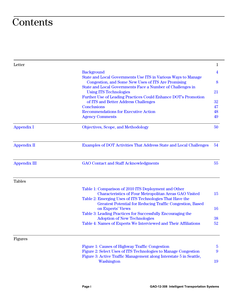## **Contents**

| Letter              |                                                                                                                              | $\mathbf{1}$            |
|---------------------|------------------------------------------------------------------------------------------------------------------------------|-------------------------|
|                     | <b>Background</b>                                                                                                            | $\overline{\mathbf{4}}$ |
|                     | State and Local Governments Use ITS in Various Ways to Manage<br>Congestion, and Some New Uses of ITS Are Promising          | 8                       |
|                     | State and Local Governments Face a Number of Challenges in<br><b>Using ITS Technologies</b>                                  | 21                      |
|                     | Further Use of Leading Practices Could Enhance DOT's Promotion<br>of ITS and Better Address Challenges                       | 32                      |
|                     | <b>Conclusions</b>                                                                                                           | 47                      |
|                     | <b>Recommendations for Executive Action</b>                                                                                  | 48                      |
|                     | <b>Agency Comments</b>                                                                                                       | 49                      |
| <b>Appendix I</b>   | Objectives, Scope, and Methodology                                                                                           | 50                      |
| <b>Appendix II</b>  | <b>Examples of DOT Activities That Address State and Local Challenges</b>                                                    | 54                      |
| <b>Appendix III</b> | <b>GAO Contact and Staff Acknowledgments</b>                                                                                 | 55                      |
| <b>Tables</b>       |                                                                                                                              |                         |
|                     | Table 1: Comparison of 2010 ITS Deployment and Other<br><b>Characteristics of Four Metropolitan Areas GAO Visited</b>        | 15                      |
|                     | Table 2: Emerging Uses of ITS Technologies That Have the<br><b>Greatest Potential for Reducing Traffic Congestion, Based</b> |                         |
|                     | on Experts' Views                                                                                                            | <b>16</b>               |
|                     | Table 3: Leading Practices for Successfully Encouraging the                                                                  |                         |
|                     | <b>Adoption of New Technologies</b><br>Table 4: Names of Experts We Interviewed and Their Affiliations                       | 38<br>52                |
|                     |                                                                                                                              |                         |
| <b>Figures</b>      |                                                                                                                              |                         |
|                     | Figure 1: Causes of Highway Traffic Congestion                                                                               | $\overline{5}$          |
|                     | Figure 2: Select Uses of ITS Technologies to Manage Congestion                                                               | 9                       |
|                     | Figure 3: Active Traffic Management along Interstate 5 in Seattle,<br>Washington                                             | 19                      |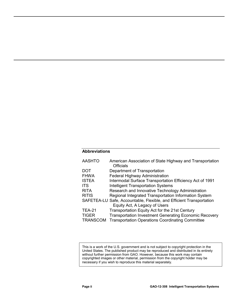#### **Abbreviations**

| <b>AASHTO</b>   | American Association of State Highway and Transportation<br><b>Officials</b> |
|-----------------|------------------------------------------------------------------------------|
| DOT             | Department of Transportation                                                 |
| <b>FHWA</b>     | Federal Highway Administration                                               |
| <b>ISTEA</b>    | Intermodal Surface Transportation Efficiency Act of 1991                     |
| <b>ITS</b>      | <b>Intelligent Transportation Systems</b>                                    |
| <b>RITA</b>     | Research and Innovative Technology Administration                            |
| <b>RITIS</b>    | Regional Integrated Transportation Information System                        |
|                 | SAFETEA-LU Safe, Accountable, Flexible, and Efficient Transportation         |
|                 | Equity Act, A Legacy of Users                                                |
| <b>TEA-21</b>   | Transportation Equity Act for the 21st Century                               |
| <b>TIGER</b>    | <b>Transportation Investment Generating Economic Recovery</b>                |
| <b>TRANSCOM</b> | <b>Transportation Operations Coordinating Committee</b>                      |

This is a work of the U.S. government and is not subject to copyright protection in the United States. The published product may be reproduced and distributed in its entirety without further permission from GAO. However, because this work may contain copyrighted images or other material, permission from the copyright holder may be necessary if you wish to reproduce this material separately.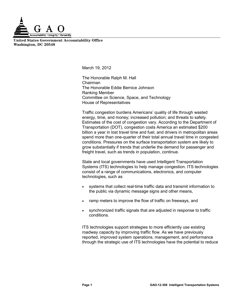

**United States Government Accountability Office Washington, DC 20548**

March 19, 2012

The Honorable Ralph M. Hall Chairman The Honorable Eddie Bernice Johnson Ranking Member Committee on Science, Space, and Technology House of Representatives

Traffic congestion burdens Americans' quality of life through wasted energy, time, and money; increased pollution; and threats to safety. Estimates of the cost of congestion vary. According to the Department of Transportation (DOT), congestion costs America an estimated \$200 billion a year in lost travel time and fuel, and drivers in metropolitan areas spend more than one-quarter of their total annual travel time in congested conditions. Pressures on the surface transportation system are likely to grow substantially if trends that underlie the demand for passenger and freight travel, such as trends in population, continue.

State and local governments have used Intelligent Transportation Systems (ITS) technologies to help manage congestion. ITS technologies consist of a range of communications, electronics, and computer technologies, such as

- systems that collect real-time traffic data and transmit information to the public via dynamic message signs and other means,
- ramp meters to improve the flow of traffic on freeways, and
- synchronized traffic signals that are adjusted in response to traffic conditions.

ITS technologies support strategies to more efficiently use existing roadway capacity by improving traffic flow. As we have previously reported, improved system operations, management, and performance through the strategic use of ITS technologies have the potential to reduce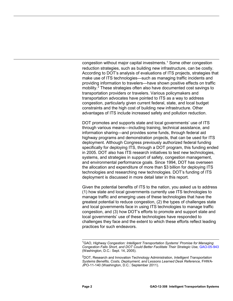congestion without major capital investments.<sup>[1](#page-5-0)</sup> Some other congestion reduction strategies, such as building new infrastructure, can be costly. According to DOT's analysis of evaluations of ITS projects, strategies that make use of ITS technologies—such as managing traffic incidents and providing information to travelers—have shown positive effects on traffic mobility.<sup>[2](#page-5-1)</sup> These strategies often also have documented cost savings to transportation providers or travelers. Various policymakers and transportation advocates have pointed to ITS as a way to address congestion, particularly given current federal, state, and local budget constraints and the high cost of building new infrastructure. Other advantages of ITS include increased safety and pollution reduction.

DOT promotes and supports state and local governments' use of ITS through various means—including training, technical assistance, and information sharing—and provides some funds, through federal aid highway programs and demonstration projects, that can be used for ITS deployment. Although Congress previously authorized federal funding specifically for deploying ITS, through a DOT program, this funding ended in 2005. DOT also has ITS research initiatives to test new technologies, systems, and strategies in support of safety, congestion management, and environmental performance goals. Since 1994, DOT has overseen the allocation and expenditure of more than \$3 billion for deploying ITS technologies and researching new technologies. DOT's funding of ITS deployment is discussed in more detail later in this report.

Given the potential benefits of ITS to the nation, you asked us to address (1) how state and local governments currently use ITS technologies to manage traffic and emerging uses of these technologies that have the greatest potential to reduce congestion, (2) the types of challenges state and local governments face in using ITS technologies to manage traffic congestion, and (3) how DOT's efforts to promote and support state and local governments' use of these technologies have responded to challenges they face and the extent to which these efforts reflect leading practices for such endeavors.

<span id="page-5-0"></span> $\overline{a}$ <sup>1</sup>GAO, Highway Congestion: Intelligent Transportation Systems' Promise for Managing *Congestion Falls Short, and DOT Could Better Facilitate Their Strategic Use,* [GAO-05-943](http://www.gao.gov/products/GAO-05-943) (Washington, D.C.: Sept. 14, 2005).

<span id="page-5-1"></span><sup>2</sup> DOT, Research and Innovation Technology Administration, *Intelligent Transportation Systems Benefits, Costs, Deployment, and Lessons Learned Desk Reference,* FHWA-JPO-11-140 (Washington, D.C.: September 2011).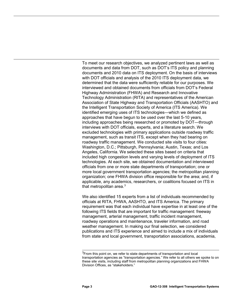To meet our research objectives, we analyzed pertinent laws as well as documents and data from DOT, such as DOT's ITS policy and planning documents and 2010 data on ITS deployment. On the basis of interviews with DOT officials and analysis of the 2010 ITS deployment data, we determined that the data were sufficiently reliable for our purposes. We interviewed and obtained documents from officials from DOT's Federal Highway Administration (FHWA) and Research and Innovative Technology Administration (RITA) and representatives of the American Association of State Highway and Transportation Officials (AASHTO) and the Intelligent Transportation Society of America (ITS America). We identified emerging uses of ITS technologies—which we defined as approaches that have begun to be used over the last 5-10 years, including approaches being researched or promoted by DOT—through interviews with DOT officials, experts, and a literature search. We excluded technologies with primary applications outside roadway traffic management, such as transit ITS, except when they had bearing on roadway traffic management. We conducted site visits to four cities: Washington, D.C.; Pittsburgh, Pennsylvania; Austin, Texas; and Los Angeles, California. We selected these sites based on criteria that included high congestion levels and varying levels of deployment of ITS technologies. At each site, we obtained documentation and interviewed officials from one or more state departments of transportation; one or more local government transportation agencies; the metropolitan planning organization; one FHWA division office responsible for the area; and, if applicable, any academics, researchers, or coalitions focused on ITS in that metropolitan area. $3$ 

We also identified 15 experts from a list of individuals recommended by officials at RITA, FHWA, AASHTO, and ITS America. The primary requirement was that each individual have expertise in at least one of the following ITS fields that are important for traffic management: freeway management, arterial management, traffic incident management, roadway operations and maintenance, traveler information, and road weather management. In making our final selection, we considered publications and ITS experience and aimed to include a mix of individuals from state and local government, transportation associations, academia,

<span id="page-6-0"></span><sup>&</sup>lt;sup>3</sup> From this point on, we refer to state departments of transportation and local transportation agencies as "transportation agencies." We refer to all others we spoke to on these site visits, including staff from metropolitan planning organizations and FHWA Division Offices, as "stakeholders."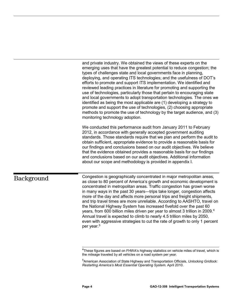and private industry. We obtained the views of these experts on the emerging uses that have the greatest potential to reduce congestion; the types of challenges state and local governments face in planning, deploying, and operating ITS technologies; and the usefulness of DOT's efforts to promote and support ITS implementation. We identified and reviewed leading practices in literature for promoting and supporting the use of technologies, particularly those that pertain to encouraging state and local governments to adopt transportation technologies. The ones we identified as being the most applicable are (1) developing a strategy to promote and support the use of technologies, (2) choosing appropriate methods to promote the use of technology by the target audience, and (3) monitoring technology adoption.

We conducted this performance audit from January 2011 to February 2012, in accordance with generally accepted government auditing standards. Those standards require that we plan and perform the audit to obtain sufficient, appropriate evidence to provide a reasonable basis for our findings and conclusions based on our audit objectives. We believe that the evidence obtained provides a reasonable basis for our findings and conclusions based on our audit objectives. Additional information about our scope and methodology is provided in appendix I.

## <span id="page-7-1"></span><span id="page-7-0"></span>Background

Congestion is geographically concentrated in major metropolitan areas, as close to 80 percent of America's growth and economic development is concentrated in metropolitan areas. Traffic congestion has grown worse in many ways in the past 30 years—trips take longer, congestion affects more of the day and affects more personal trips and freight shipments, and trip travel times are more unreliable. According to AASHTO, travel on the National Highway System has increased fivefold over the past 60 years, from 600 billion miles driven per year to almost 3 trillion in 2009.<sup>[4](#page-7-1)</sup> Annual travel is expected to climb to nearly 4.5 trillion miles by 2050, even with aggressive strategies to cut the rate of growth to only 1 percent per year.[5](#page-7-2)

 4 These figures are based on FHWA's highway statistics on vehicle miles of travel, which is the mileage traveled by all vehicles on a road system per year.

<span id="page-7-2"></span><sup>5</sup> American Association of State Highway and Transportation Officials, *Unlocking Gridlock: Restarting America's Most Essential Operating System.* April 2010.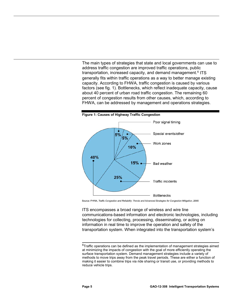The main types of strategies that state and local governments can use to address traffic congestion are improved traffic operations, public transportation, increased capacity, and demand management.<sup>[6](#page-8-1)</sup> ITS generally fits within traffic operations as a way to better manage existing capacity. According to FHWA, traffic congestion is caused by various factors (see fig. 1). Bottlenecks, which reflect inadequate capacity, cause about 40 percent of urban road traffic congestion. The remaining 60 percent of congestion results from other causes, which, according to FHWA, can be addressed by management and operations strategies.

<span id="page-8-0"></span>

Source: FHWA, Traffic Congestion and Reliability: Trends and Advanced Strategies for Congestion Mitigation, 2005.

ITS encompasses a broad range of wireless and wire line communications-based information and electronic technologies, including technologies for collecting, processing, disseminating, or acting on information in real time to improve the operation and safety of the transportation system. When integrated into the transportation system's

<span id="page-8-1"></span> 6 Traffic operations can be defined as the implementation of management strategies aimed at minimizing the impacts of congestion with the goal of more efficiently operating the surface transportation system. Demand management strategies include a variety of methods to move trips away from the peak travel periods. These are either a function of making it easier to combine trips via ride sharing or transit use, or providing methods to reduce vehicle trips.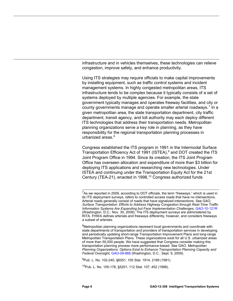infrastructure and in vehicles themselves, these technologies can relieve congestion, improve safety, and enhance productivity.

Using ITS strategies may require officials to make capital improvements by installing equipment, such as traffic control systems and incident management systems. In highly congested metropolitan areas, ITS infrastructure tends to be complex because it typically consists of a set of systems deployed by multiple agencies. For example, the state government typically manages and operates freeway facilities, and city or county governments manage and operate smaller arterial roadways.<sup>[7](#page-9-0)</sup> In a given metropolitan area, the state transportation department, city traffic department, transit agency, and toll authority may each deploy different ITS technologies that address their transportation needs. Metropolitan planning organizations serve a key role in planning, as they have responsibility for the regional transportation planning processes in urbanized areas. $8$ 

Congress established the ITS program in 1991 in the Intermodal Surface Transportation Efficiency Act of 1991 (ISTEA), $9$  and DOT created the ITS Joint Program Office in 1994. Since its creation, the ITS Joint Program Office has overseen allocation and expenditure of more than \$3 billion for deploying ITS applications and researching new technologies. Under ISTEA and continuing under the Transportation Equity Act for the 21st Century (TEA-21), enacted in 1998,<sup>[10](#page-9-3)</sup> Congress authorized funds

<span id="page-9-3"></span><span id="page-9-2"></span>9 Pub. L. No. 102-240, §6051, 105 Stat. 1914, 2189 (1991).

<sup>10</sup>Pub. L. No. 105-178, §5201, 112 Stat. 107, 452 (1998).

<span id="page-9-0"></span> $^{7}$ As we reported in 2009, according to DOT officials, the term "freeways," which is used in its ITS deployment surveys, refers to controlled access roads that have no intersections. Arterial roads generally consist of roads that have signalized intersections. See GAO, *Surface Transportation: Efforts to Address Highway Congestion through Real-Time Traffic Information Systems Are Expanding but Face Implementation Challenges,*  [GAO-10-121R](http://www.gao.gov/products/GAO-10-121R) (Washington, D.C.: Nov. 30, 2009). The ITS deployment surveys are administered by RITA. FHWA defines arterials and freeways differently, however, and considers freeways a subset of arterials.

<span id="page-9-1"></span><sup>&</sup>lt;sup>8</sup>Metropolitan planning organizations represent local governments and coordinate with state departments of transportation and providers of transportation services in developing and periodically updating short-range Transportation Improvement Plans and long-range Metropolitan Transportation Plans. These organizations exist for all U.S. urbanized areas of more than 50,000 people. We have suggested that Congress consider making this transportation planning process more performance-based. See GAO, *Metropolitan Planning Organizations: Options Exist to Enhance Transportation Planning Capacity and Federal Oversight,* [GAO-09-868](http://www.gao.gov/products/GAO-09-868) (Washington, D.C.: Sept. 9, 2009).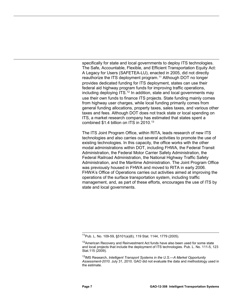specifically for state and local governments to deploy ITS technologies. The Safe, Accountable, Flexible, and Efficient Transportation Equity Act: A Legacy for Users (SAFETEA-LU), enacted in 2005, did not directly reauthorize the ITS deployment program.<sup>[11](#page-10-0)</sup> Although DOT no longer provides dedicated funding for ITS deployment, states can use their federal aid highway program funds for improving traffic operations, including deploying ITS.<sup>[12](#page-10-1)</sup> In addition, state and local governments may use their own funds to finance ITS projects. State funding mainly comes from highway user charges, while local funding primarily comes from general funding allocations, property taxes, sales taxes, and various other taxes and fees. Although DOT does not track state or local spending on ITS, a market research company has estimated that states spent a combined  $$1.4$  billion on ITS in 2010.<sup>[13](#page-10-2)</sup>

The ITS Joint Program Office, within RITA, leads research of new ITS technologies and also carries out several activities to promote the use of existing technologies. In this capacity, the office works with the other modal administrations within DOT, including FHWA, the Federal Transit Administration, the Federal Motor Carrier Safety Administration, the Federal Railroad Administration, the National Highway Traffic Safety Administration, and the Maritime Administration. The Joint Program Office was previously housed in FHWA and moved to RITA in early 2006. FHWA's Office of Operations carries out activities aimed at improving the operations of the surface transportation system, including traffic management, and, as part of these efforts, encourages the use of ITS by state and local governments.

 $\overline{a}$ 11Pub. L. No. 109-59, §5101(a)(6), 119 Stat. 1144, 1779 (2005).

<span id="page-10-1"></span><span id="page-10-0"></span><sup>&</sup>lt;sup>12</sup> American Recovery and Reinvestment Act funds have also been used for some state and local projects that include the deployment of ITS technologies. Pub. L. No. 111-5, 123 Stat.115 (2009).

<span id="page-10-2"></span><sup>&</sup>lt;sup>13</sup>IMS Research, *Intelligent Transport Systems in the U.S.—A Market Opportunity Assessment-2010.* July 31, 2010. GAO did not evaluate the data and methodology used in the estimate.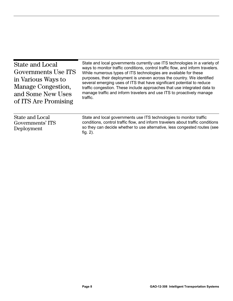<span id="page-11-0"></span>

| <b>State and Local</b><br>Governments Use ITS<br>in Various Ways to<br>Manage Congestion,<br>and Some New Uses<br>of ITS Are Promising | State and local governments currently use ITS technologies in a variety of<br>ways to monitor traffic conditions, control traffic flow, and inform travelers.<br>While numerous types of ITS technologies are available for these<br>purposes, their deployment is uneven across the country. We identified<br>several emerging uses of ITS that have significant potential to reduce<br>traffic congestion. These include approaches that use integrated data to<br>manage traffic and inform travelers and use ITS to proactively manage<br>traffic. |
|----------------------------------------------------------------------------------------------------------------------------------------|--------------------------------------------------------------------------------------------------------------------------------------------------------------------------------------------------------------------------------------------------------------------------------------------------------------------------------------------------------------------------------------------------------------------------------------------------------------------------------------------------------------------------------------------------------|
| <b>State and Local</b><br>Governments' ITS<br>Deployment                                                                               | State and local governments use ITS technologies to monitor traffic<br>conditions, control traffic flow, and inform travelers about traffic conditions<br>so they can decide whether to use alternative, less congested routes (see<br>fig. $2$ ).                                                                                                                                                                                                                                                                                                     |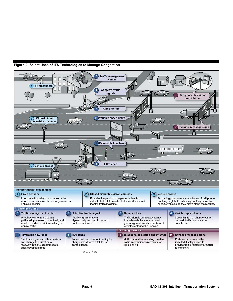

<span id="page-12-0"></span>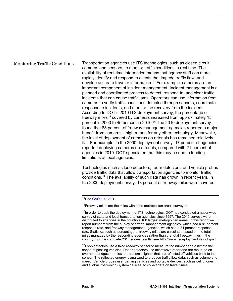#### Monitoring Traffic Conditions

Transportation agencies use ITS technologies, such as closed circuit cameras and sensors, to monitor traffic conditions in real time. The availability of real-time information means that agency staff can more rapidly identify and respond to events that impede traffic flow, and develop accurate traveler information.<sup>[14](#page-13-0)</sup> For example, cameras are an important component of incident management. Incident management is a planned and coordinated process to detect, respond to, and clear traffic incidents that can cause traffic jams. Operators can use information from cameras to verify traffic conditions detected through sensors, coordinate response to incidents, and monitor the recovery from the incident. According to DOT's 2010 ITS deployment survey, the percentage of freeway miles<sup>[15](#page-13-1)</sup> covered by cameras increased from approximately 15 percent in 2000 to 45 percent in 2010.<sup>[16](#page-13-2)</sup> The 2010 deployment survey found that 83 percent of freeway management agencies reported a major benefit from cameras—higher than for any other technology. Meanwhile, the level of deployment of cameras on arterials has remained relatively flat. For example, in the 2000 deployment survey, 17 percent of agencies reported deploying cameras on arterials, compared with 21 percent of agencies in 2010. DOT speculated that this may be due to funding limitations at local agencies.

Technologies such as loop detectors, radar detectors, and vehicle probes provide traffic data that allow transportation agencies to monitor traffic conditions. [17](#page-13-3) The availability of such data has grown in recent years. In the 2000 deployment survey, 18 percent of freeway miles were covered

<span id="page-13-3"></span><sup>17</sup>Loop detectors use a fixed roadway sensor to measure the number and estimate the speed of passing vehicles. Radar detectors use microwave radar and are mounted on overhead bridges or poles and transmit signals that are reflected off vehicles back to the sensor. The reflected energy is analyzed to produce traffic flow data, such as volume and speed. Vehicle probes use roaming vehicles and portable devices, such as cell phones and Global Positioning System devices, to collect data on travel times.

 $\overline{a}$ <sup>14</sup>See [GAO-10-121R.](http://www.gao.gov/products/GAO-10-121R)

<span id="page-13-1"></span><span id="page-13-0"></span> $15$ Freeway miles are the miles within the metropolitan areas surveyed.

<span id="page-13-2"></span> $16$ In order to track the deployment of ITS technologies, DOT has conducted a nationwide survey of state and local transportation agencies since 1997. The 2010 surveys were distributed to agencies in the country's 108 largest metropolitan areas. In this report we report numbers from the survey of arterial management agencies, which had a 81 percent response rate, and freeway management agencies, which had a 84 percent response rate. Statistics such as percentage of freeway miles are calculated based on the total miles managed by the responding agencies rather than the total freeway miles in the country. For the complete 2010 survey results, se[e http://www.itsdeployment.its.dot.gov/.](http://www.itsdeployment.its.dot.gov/)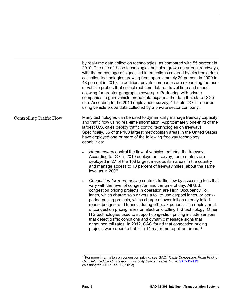by real-time data collection technologies, as compared with 55 percent in 2010. The use of these technologies has also grown on arterial roadways, with the percentage of signalized intersections covered by electronic data collection technologies growing from approximately 20 percent in 2000 to 48 percent in 2010. In addition, private companies are expanding the use of vehicle probes that collect real-time data on travel time and speed, allowing for greater geographic coverage. Partnering with private companies to gain vehicle probe data expands the data that state DOTs use. According to the 2010 deployment survey, 11 state DOTs reported using vehicle probe data collected by a private sector company.

- Many technologies can be used to dynamically manage freeway capacity and traffic flow using real-time information. Approximately one-third of the largest U.S. cities deploy traffic control technologies on freeways. Specifically, 35 of the 108 largest metropolitan areas in the United States have deployed one or more of the following freeway technology capabilities: Controlling Traffic Flow
	- *Ramp meters* control the flow of vehicles entering the freeway. According to DOT's 2010 deployment survey, ramp meters are deployed in 27 of the 108 largest metropolitan areas in the country and manage access to 13 percent of freeway miles, about the same level as in 2006.
	- *Congestion (or road) pricing* controls traffic flow by assessing tolls that vary with the level of congestion and the time of day. All U.S. congestion pricing projects in operation are High Occupancy Toll lanes, which charge solo drivers a toll to use carpool lanes, or peakperiod pricing projects, which charge a lower toll on already tolled roads, bridges, and tunnels during off-peak periods. The deployment of congestion pricing relies on electronic tolling ITS technology. Other ITS technologies used to support congestion pricing include sensors that detect traffic conditions and dynamic message signs that announce toll rates. In 2012, GAO found that congestion pricing projects were open to traffic in 14 major metropolitan areas.<sup>[18](#page-14-0)</sup>

 $\overline{a}$ 

<span id="page-14-0"></span><sup>18</sup>For more information on congestion pricing, see GAO, *Traffic Congestion: Road Pricing Can Help Reduce Congestion, but Equity Concerns May Grow*[, GAO-12-119](http://www.gao.gov/products/GAO-12-119) (Washington, D.C.: Jan. 12, 2012).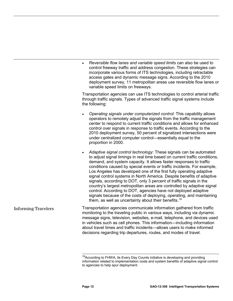|                            | Reversible flow lanes and variable speed limits can also be used to<br>control freeway traffic and address congestion. These strategies can<br>incorporate various forms of ITS technologies, including retractable<br>access gates and dynamic message signs. According to the 2010<br>deployment survey, 11 metropolitan areas use reversible flow lanes or<br>variable speed limits on freeways.                                                                                                                                                                                                                                                                                                                                                                                                              |
|----------------------------|------------------------------------------------------------------------------------------------------------------------------------------------------------------------------------------------------------------------------------------------------------------------------------------------------------------------------------------------------------------------------------------------------------------------------------------------------------------------------------------------------------------------------------------------------------------------------------------------------------------------------------------------------------------------------------------------------------------------------------------------------------------------------------------------------------------|
|                            | Transportation agencies can use ITS technologies to control arterial traffic<br>through traffic signals. Types of advanced traffic signal systems include<br>the following:                                                                                                                                                                                                                                                                                                                                                                                                                                                                                                                                                                                                                                      |
|                            | Operating signals under computerized control: This capability allows<br>operators to remotely adjust the signals from the traffic management<br>center to respond to current traffic conditions and allows for enhanced<br>control over signals in response to traffic events. According to the<br>2010 deployment survey, 50 percent of signalized intersections were<br>under centralized computer control-essentially equal to the<br>proportion in 2000.                                                                                                                                                                                                                                                                                                                                                     |
|                            | Adaptive signal control technology: These signals can be automated<br>to adjust signal timings in real time based on current traffic conditions,<br>demand, and system capacity. It allows faster responses to traffic<br>conditions caused by special events or traffic incidents. For example,<br>Los Angeles has developed one of the first fully operating adaptive<br>signal control systems in North America. Despite benefits of adaptive<br>signals, according to DOT, only 3 percent of traffic signals in the<br>country's largest metropolitan areas are controlled by adaptive signal<br>control. According to DOT, agencies have not deployed adaptive<br>signals because of the costs of deploying, operating, and maintaining<br>them, as well as uncertainty about their benefits. <sup>19</sup> |
| <b>Informing Travelers</b> | Transportation agencies communicate information gathered from traffic<br>monitoring to the traveling public in various ways, including via dynamic<br>message signs, television, websites, e-mail, telephone, and devices used<br>in vehicles such as cell phones. This information—including information<br>about travel times and traffic incidents—allows users to make informed<br>decisions regarding trip departures, routes, and modes of travel.                                                                                                                                                                                                                                                                                                                                                         |

<span id="page-15-0"></span> $\overline{a}$ <sup>19</sup>According to FHWA, its Every Day Counts initiative is developing and providing information related to implementation costs and system benefits of adaptive signal control to agencies to help spur deployment.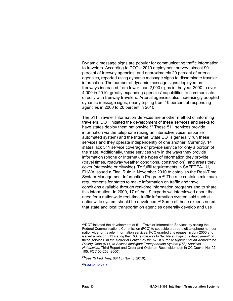Dynamic message signs are popular for communicating traffic information to travelers. According to DOT's 2010 deployment survey, almost 90 percent of freeway agencies, and approximately 20 percent of arterial agencies, reported using dynamic message signs to disseminate traveler information. The number of dynamic message signs deployed on freeways increased from fewer than 2,000 signs in the year 2000 to over 4,000 in 2010, greatly expanding agencies' capabilities to communicate directly with freeway travelers. Arterial agencies also increasingly adopted dynamic message signs, nearly tripling from 10 percent of responding agencies in 2000 to 26 percent in 2010.

The 511 Traveler Information Services are another method of informing travelers. DOT initiated the development of these services and seeks to have states deploy them nationwide.<sup>[20](#page-16-0)</sup> These 511 services provide information via the telephone (using an interactive voice response automated system) and the Internet. State DOTs generally run these services and they operate independently of one another. Currently, 14 states lack 511 service coverage or provide service for only a portion of the state. Additionally, these services vary in the ways they provide information (phone or Internet), the types of information they provide (travel times, roadway weather conditions, construction), and areas they cover (statewide or citywide). To fulfill requirements in SAFETEA-LU, FHWA issued a Final Rule in November 2010 to establish the Real-Time System Management Information Program.<sup>[21](#page-16-1)</sup> The rule contains minimum requirements for states to make information on traffic and travel conditions available through real-time information programs and to share this information. In 2009, 17 of the 19 experts we interviewed about the need for a nationwide real-time traffic information system said such a nationwide system should be developed.<sup>[22](#page-16-2)</sup> Some of these experts noted that state and local transportation agencies generally develop and use

<span id="page-16-2"></span><span id="page-16-1"></span>21See 75 *Fed. Reg*. 68418 (Nov. 8, 2010).

 $^{22}$ GAO-10-121R.

 $\overline{a}$ 

<span id="page-16-0"></span><sup>&</sup>lt;sup>20</sup>DOT initiated the development of 511 Traveler Information Services by asking the Federal Communications Commission (FCC) to set aside a three-digit telephone number nationwide for traveler information services. FCC granted this request in July 2000 and issued a rule on 511 stating that DOT's role was to "facilitate ubiquitous deployment" of these services. *In the Matter of Petition by the USDOT for Assignment of an Abbreviated Dialing Code (N11) to Access Intelligent Transportation System (ITS) Services Nationwide*, Third Report and Order and Order on Reconsideration in CC Docket No. 92- 105, FCC 00-256 (2000).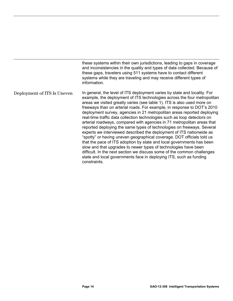these systems within their own jurisdictions, leading to gaps in coverage and inconsistencies in the quality and types of data collected. Because of these gaps, travelers using 511 systems have to contact different systems while they are traveling and may receive different types of information. In general, the level of ITS deployment varies by state and locality. For example, the deployment of ITS technologies across the four metropolitan areas we visited greatly varies (see table 1). ITS is also used more on freeways than on arterial roads. For example, in response to DOT's 2010 deployment survey, agencies in 21 metropolitan areas reported deploying real-time traffic data collection technologies such as loop detectors on arterial roadways, compared with agencies in 71 metropolitan areas that reported deploying the same types of technologies on freeways. Several experts we interviewed described the deployment of ITS nationwide as "spotty" or having uneven geographical coverage. DOT officials told us that the pace of ITS adoption by state and local governments has been slow and that upgrades to newer types of technologies have been difficult. In the next section we discuss some of the common challenges state and local governments face in deploying ITS, such as funding constraints. Deployment of ITS Is Uneven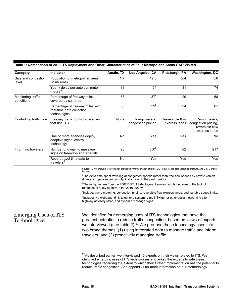| Category                                                                                                                                    | Indicator                                                                     |                                                                                                                                                                  | Austin, TX                                   | Los Angeles, CA                                                                                                                                                                                                                                                                                                                                                 | Pittsburgh, PA                   | <b>Washington, DC</b>                                                   |
|---------------------------------------------------------------------------------------------------------------------------------------------|-------------------------------------------------------------------------------|------------------------------------------------------------------------------------------------------------------------------------------------------------------|----------------------------------------------|-----------------------------------------------------------------------------------------------------------------------------------------------------------------------------------------------------------------------------------------------------------------------------------------------------------------------------------------------------------------|----------------------------------|-------------------------------------------------------------------------|
| Size and congestion<br>level                                                                                                                | Population of metropolitan area<br>(in millions)                              |                                                                                                                                                                  | 1.7                                          | 12.8                                                                                                                                                                                                                                                                                                                                                            | 2.4                              | 5.6                                                                     |
|                                                                                                                                             | Yearly delay per auto commuter<br>$(hours)^a$                                 |                                                                                                                                                                  | 38                                           | 64                                                                                                                                                                                                                                                                                                                                                              | 31                               | 74                                                                      |
| Monitoring traffic<br>conditions                                                                                                            | Percentage of freeway miles<br>covered by cameras                             |                                                                                                                                                                  | 58                                           | 37 <sup>b</sup>                                                                                                                                                                                                                                                                                                                                                 | 29                               | 58                                                                      |
|                                                                                                                                             | Percentage of freeway miles with<br>real-time data collection<br>technologies |                                                                                                                                                                  | 58                                           | 39 <sup>b</sup>                                                                                                                                                                                                                                                                                                                                                 | 24                               | 61                                                                      |
| Controlling traffic flow                                                                                                                    | Freeway traffic control strategies<br>that use ITS <sup>c</sup>               |                                                                                                                                                                  | None                                         | Ramp meters,<br>congestion pricing                                                                                                                                                                                                                                                                                                                              | Reversible flow<br>express lanes | Ramp meters,<br>congestion pricing,<br>reversible flow<br>express lanes |
|                                                                                                                                             | One or more agencies deploy<br>adaptive signal control<br>technology          |                                                                                                                                                                  | No                                           | Yes                                                                                                                                                                                                                                                                                                                                                             | Yes                              | No                                                                      |
| Informing travelers<br>Number of dynamic message<br>signs on freeways and arterials<br>Report travel time data to<br>travelers <sup>d</sup> |                                                                               |                                                                                                                                                                  | 26                                           | 350 <sup>b</sup>                                                                                                                                                                                                                                                                                                                                                | 82                               | 217                                                                     |
|                                                                                                                                             |                                                                               |                                                                                                                                                                  | No                                           | Yes                                                                                                                                                                                                                                                                                                                                                             | Yes                              | Yes                                                                     |
|                                                                                                                                             |                                                                               | Bureau.                                                                                                                                                          |                                              | Sources: GAO analysis of information provided by transportation officials, DOT data, Texas Transportation Institute, and U.S. Census                                                                                                                                                                                                                            |                                  |                                                                         |
|                                                                                                                                             |                                                                               |                                                                                                                                                                  |                                              | <sup>a</sup> The extra time spent traveling at congested speeds rather than free-flow speeds by private vehicle<br>drivers and passengers who typically travel in the peak periods.                                                                                                                                                                             |                                  |                                                                         |
|                                                                                                                                             |                                                                               |                                                                                                                                                                  | response of a key agency to the 2010 survey. | <sup>b</sup> These figures are from the 2007 DOT ITS deployment survey results because of the lack of                                                                                                                                                                                                                                                           |                                  |                                                                         |
|                                                                                                                                             |                                                                               |                                                                                                                                                                  |                                              | <sup>c</sup> Includes ramp metering, congestion pricing, reversible flow express lanes, and variable speed limits.                                                                                                                                                                                                                                              |                                  |                                                                         |
|                                                                                                                                             |                                                                               | <sup>d</sup> Includes via webpage, 511, telephone system, e-mail, Twitter or other social networking site,<br>highway advisory radio, and dynamic message signs. |                                              |                                                                                                                                                                                                                                                                                                                                                                 |                                  |                                                                         |
| <b>Emerging Uses of ITS</b><br>Technologies                                                                                                 |                                                                               |                                                                                                                                                                  |                                              | We identified four emerging uses of ITS technologies that have the<br>greatest potential to reduce traffic congestion, based on views of experts<br>we interviewed (see table 2). $^{23}$ We grouped these technology uses into<br>two broad themes: (1) using integrated data to manage traffic and inform<br>travelers, and (2) proactively managing traffic. |                                  |                                                                         |

#### <span id="page-18-0"></span>**Table 1: Comparison of 2010 ITS Deployment and Other Characteristics of Four Metropolitan Areas GAO Visited**

 $\overline{a}$ 

<span id="page-18-1"></span> $^{23}$ As described earlier, we interviewed 15 experts on their views related to ITS. We identified emerging uses of ITS technologies and asked the experts to rate these technologies regarding the extent to which their further implementation has the potential to reduce traffic congestion. See appendix I for more information on our methodology.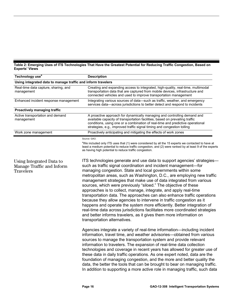<span id="page-19-0"></span>**Table 2: Emerging Uses of ITS Technologies That Have the Greatest Potential for Reducing Traffic Congestion, Based on Experts' Views** 

| Technology use <sup>a</sup>                                               | <b>Description</b>                                                                                                                                                                                                                                                                                                                                                                                                                                                                                                                                                                                                                                                                                                                                                                                                                                                                                                    |  |
|---------------------------------------------------------------------------|-----------------------------------------------------------------------------------------------------------------------------------------------------------------------------------------------------------------------------------------------------------------------------------------------------------------------------------------------------------------------------------------------------------------------------------------------------------------------------------------------------------------------------------------------------------------------------------------------------------------------------------------------------------------------------------------------------------------------------------------------------------------------------------------------------------------------------------------------------------------------------------------------------------------------|--|
| Using integrated data to manage traffic and inform travelers              |                                                                                                                                                                                                                                                                                                                                                                                                                                                                                                                                                                                                                                                                                                                                                                                                                                                                                                                       |  |
| Real-time data capture, sharing, and<br>management                        | Creating and expanding access to integrated, high-quality, real-time, multimodal<br>transportation data that are captured from mobile devices, infrastructure and<br>connected vehicles and used to improve transportation management                                                                                                                                                                                                                                                                                                                                                                                                                                                                                                                                                                                                                                                                                 |  |
| Enhanced incident response management                                     | Integrating various sources of data-such as traffic, weather, and emergency<br>services data-across jurisdictions to better detect and respond to incidents                                                                                                                                                                                                                                                                                                                                                                                                                                                                                                                                                                                                                                                                                                                                                           |  |
| Proactively managing traffic                                              |                                                                                                                                                                                                                                                                                                                                                                                                                                                                                                                                                                                                                                                                                                                                                                                                                                                                                                                       |  |
| Active transportation and demand<br>management                            | A proactive approach for dynamically managing and controlling demand and<br>available capacity of transportation facilities, based on prevailing traffic<br>conditions, using one or a combination of real-time and predictive operational<br>strategies, e.g., improved traffic signal timing and congestion tolling                                                                                                                                                                                                                                                                                                                                                                                                                                                                                                                                                                                                 |  |
| Work zone management                                                      | Proactively anticipating and mitigating the effects of work zones                                                                                                                                                                                                                                                                                                                                                                                                                                                                                                                                                                                                                                                                                                                                                                                                                                                     |  |
|                                                                           | Source: GAO.                                                                                                                                                                                                                                                                                                                                                                                                                                                                                                                                                                                                                                                                                                                                                                                                                                                                                                          |  |
|                                                                           | <sup>a</sup> We included only ITS uses that (1) were considered by all the 15 experts we contacted to have at<br>least a medium potential to reduce traffic congestion, and (2) were ranked by at least 9 of the experts<br>as having high potential to reduce traffic congestion.                                                                                                                                                                                                                                                                                                                                                                                                                                                                                                                                                                                                                                    |  |
| Using Integrated Data to<br>Manage Traffic and Inform<br><b>Travelers</b> | ITS technologies generate and use data to support agencies' strategies-<br>such as traffic signal coordination and incident management-for<br>managing congestion. State and local governments within some<br>metropolitan areas, such as Washington, D.C., are employing new traffic<br>management strategies that make use of data integrated from various<br>sources, which were previously "siloed." The objective of these<br>approaches is to collect, manage, integrate, and apply real-time<br>transportation data. The approaches can also enhance traffic operations<br>because they allow agencies to intervene in traffic congestion as it<br>happens and operate the system more efficiently. Better integration of<br>real-time data across jurisdictions facilitates more coordinated strategies<br>and better informs travelers, as it gives them more information on<br>transportation alternatives. |  |
|                                                                           | Agencies integrate a variety of real-time information—including incident<br>information, travel time, and weather advisories-obtained from various<br>sources to manage the transportation system and provide relevant<br>information to travelers. The expansion of real-time data collection<br>technologies and coverage in recent years has allowed for greater use of<br>these data in daily traffic operations. As one expert noted, data are the<br>foundation of managing congestion, and the more and better quality the<br>data, the better the tools that can be brought to bear on managing traffic.<br>In addition to supporting a more active role in managing traffic, such data                                                                                                                                                                                                                       |  |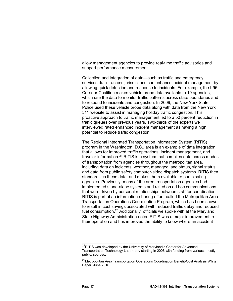allow management agencies to provide real-time traffic advisories and support performance measurement.

Collection and integration of data—such as traffic and emergency services data—across jurisdictions can enhance incident management by allowing quick detection and response to incidents. For example, the I-95 Corridor Coalition makes vehicle probe data available to 19 agencies, which use the data to monitor traffic patterns across state boundaries and to respond to incidents and congestion. In 2009, the New York State Police used these vehicle probe data along with data from the New York 511 website to assist in managing holiday traffic congestion. This proactive approach to traffic management led to a 50 percent reduction in traffic queues over previous years. Two-thirds of the experts we interviewed rated enhanced incident management as having a high potential to reduce traffic congestion.

The Regional Integrated Transportation Information System (RITIS) program in the Washington, D.C., area is an example of data integration that allows for improved traffic operations, incident management, and traveler information.<sup>[24](#page-20-0)</sup> RITIS is a system that compiles data across modes of transportation from agencies throughout the metropolitan area, including data on incidents, weather, managed lane status, signal status, and data from public safety computer-aided dispatch systems. RITIS then standardizes these data, and makes them available to participating agencies. Previously, many of the area transportation agencies had implemented stand-alone systems and relied on ad hoc communications that were driven by personal relationships between staff for coordination. RITIS is part of an information-sharing effort, called the Metropolitan Area Transportation Operations Coordination Program, which has been shown to result in cost savings associated with reduced traffic delay and reduced fuel consumption.<sup>[25](#page-20-1)</sup> Additionally, officials we spoke with at the Maryland State Highway Administration noted RITIS was a major improvement to their operation and has improved the ability to know where an accident

<span id="page-20-0"></span> $\overline{a}$ <sup>24</sup>RITIS was developed by the University of Maryland's Center for Advanced Transportation Technology Laboratory starting in 2006 with funding from various, mostly public, sources.

<span id="page-20-1"></span><sup>&</sup>lt;sup>25</sup>Metropolitan Area Transportation Operations Coordination Benefit-Cost Analysis White Paper, June 2010.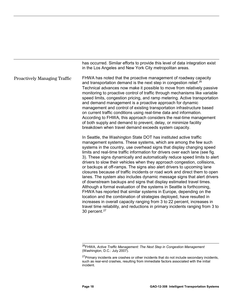in the Los Angeles and New York City metropolitan areas. FHWA has noted that the proactive management of roadway capacity and transportation demand is the next step in congestion relief.<sup>[26](#page-21-0)</sup> In Seattle, the Washington State DOT has instituted active traffic management systems. These systems, which are among the few such systems in the country, use overhead signs that display changing speed limits and real-time traffic information for drivers over each lane (see fig. 3). These signs dynamically and automatically reduce speed limits to alert drivers to slow their vehicles when they approach congestion, collisions, or backups at off-ramps. The signs also alert drivers to upcoming lane closures because of traffic incidents or road work and direct them to open lanes. The system also includes dynamic message signs that alert drivers of downstream backups and signs that display estimated travel times. Although a formal evaluation of the systems in Seattle is forthcoming, FHWA has reported that similar systems in Europe, depending on the location and the combination of strategies deployed, have resulted in increases in overall capacity ranging from 3 to 22 percent, increases in travel time reliability, and reductions in primary incidents ranging from 3 to 30 percent. [27](#page-21-1) Technical advances now make it possible to move from relatively passive monitoring to proactive control of traffic through mechanisms like variable speed limits, congestion pricing, and ramp metering. Active transportation and demand management is a proactive approach for dynamic management and control of existing transportation infrastructure based on current traffic conditions using real-time data and information. According to FHWA, this approach considers the real-time management of both supply and demand to prevent, delay, or minimize facility breakdown when travel demand exceeds system capacity. Proactively Managing Traffic

has occurred. Similar efforts to provide this level of data integration exist

<span id="page-21-0"></span> $\overline{a}$ 26FHWA, *Active Traffic Management: The Next Step in Congestion Management* (Washington, D.C.: July 2007).

<span id="page-21-1"></span><sup>&</sup>lt;sup>27</sup>Primary incidents are crashes or other incidents that do not include secondary incidents, such as rear-end crashes, resulting from immediate factors associated with the initial incident.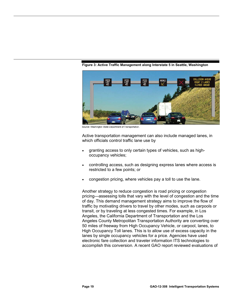<span id="page-22-0"></span>

**Figure 3: Active Traffic Management along Interstate 5 in Seattle, Washington**

Source: Washington State Department of Transportation

Active transportation management can also include managed lanes, in which officials control traffic lane use by

- granting access to only certain types of vehicles, such as highoccupancy vehicles;
- controlling access, such as designing express lanes where access is restricted to a few points; or
- congestion pricing, where vehicles pay a toll to use the lane.

Another strategy to reduce congestion is road pricing or congestion pricing—assessing tolls that vary with the level of congestion and the time of day. This demand management strategy aims to improve the flow of traffic by motivating drivers to travel by other modes, such as carpools or transit, or by traveling at less congested times. For example, in Los Angeles, the California Department of Transportation and the Los Angeles County Metropolitan Transportation Authority are converting over 50 miles of freeway from High Occupancy Vehicle, or carpool, lanes, to High Occupancy Toll lanes. This is to allow use of excess capacity in the lanes by single occupancy vehicles for a price. Agencies have used electronic fare collection and traveler information ITS technologies to accomplish this conversion. A recent GAO report reviewed evaluations of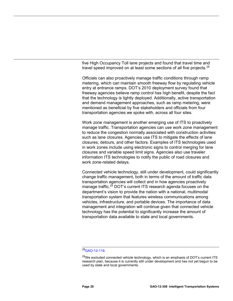five High Occupancy Toll lane projects and found that travel time and travel speed improved on at least some sections of all five projects.<sup>[28](#page-23-0)</sup>

Officials can also proactively manage traffic conditions through ramp metering, which can maintain smooth freeway flow by regulating vehicle entry at entrance ramps. DOT's 2010 deployment survey found that freeway agencies believe ramp control has high benefit, despite the fact that the technology is lightly deployed. Additionally, active transportation and demand management approaches, such as ramp metering, were mentioned as beneficial by five stakeholders and officials from four transportation agencies we spoke with, across all four sites.

Work zone management is another emerging use of ITS to proactively manage traffic. Transportation agencies can use work zone management to reduce the congestion normally associated with construction activities such as lane closures. Agencies use ITS to mitigate the effects of lane closures, detours, and other factors. Examples of ITS technologies used in work zones include using electronic signs to control merging for lane closures and variable speed limit signs. Agencies also use traveler information ITS technologies to notify the public of road closures and work zone-related delays.

Connected vehicle technology, still under development, could significantly change traffic management, both in terms of the amount of traffic data transportation agencies will collect and in how agencies proactively manage traffic.<sup>[29](#page-23-1)</sup> DOT's current ITS research agenda focuses on the department's vision to provide the nation with a national, multimodal transportation system that features wireless communications among vehicles, infrastructure, and portable devices. The importance of data management and integration will continue given that connected vehicle technology has the potential to significantly increase the amount of transportation data available to state and local governments.

<sup>&</sup>lt;sup>28</sup>[GAO-12-119.](http://www.gao.gov/products/GAO-12-119)

<span id="page-23-1"></span><span id="page-23-0"></span> $29$ We excluded connected vehicle technology, which is an emphasis of DOT's current ITS research plan, because it is currently still under development and has not yet begun to be used by state and local governments.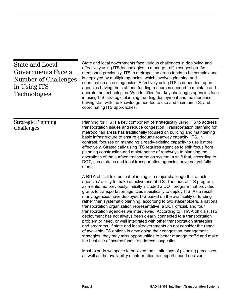<span id="page-24-0"></span>

| <b>State and Local</b><br>Governments Face a<br><b>Number of Challenges</b><br>in Using ITS<br><b>Technologies</b> | State and local governments face various challenges in deploying and<br>effectively using ITS technologies to manage traffic congestion. As<br>mentioned previously, ITS in metropolitan areas tends to be complex and<br>is deployed by multiple agencies, which involves planning and<br>coordination across agencies. Effectively using ITS is dependent upon<br>agencies having the staff and funding resources needed to maintain and<br>operate the technologies. We identified four key challenges agencies face<br>in using ITS: strategic planning, funding deployment and maintenance,<br>having staff with the knowledge needed to use and maintain ITS, and<br>coordinating ITS approaches.                                                                                                                                                                                                                                                                                                                                                                                                                                     |  |  |
|--------------------------------------------------------------------------------------------------------------------|---------------------------------------------------------------------------------------------------------------------------------------------------------------------------------------------------------------------------------------------------------------------------------------------------------------------------------------------------------------------------------------------------------------------------------------------------------------------------------------------------------------------------------------------------------------------------------------------------------------------------------------------------------------------------------------------------------------------------------------------------------------------------------------------------------------------------------------------------------------------------------------------------------------------------------------------------------------------------------------------------------------------------------------------------------------------------------------------------------------------------------------------|--|--|
| <b>Strategic Planning</b><br>Challenges                                                                            | Planning for ITS is a key component of strategically using ITS to address<br>transportation issues and reduce congestion. Transportation planning for<br>metropolitan areas has traditionally focused on building and maintaining<br>basic infrastructure to ensure adequate roadway capacity. ITS, in<br>contrast, focuses on managing already-existing capacity to use it more<br>effectively. Strategically using ITS requires agencies to shift focus from<br>planning construction and maintenance of roadways to planning the<br>operations of the surface transportation system, a shift that, according to<br>DOT, some states and local transportation agencies have not yet fully<br>made.                                                                                                                                                                                                                                                                                                                                                                                                                                        |  |  |
|                                                                                                                    | A RITA official told us that planning is a major challenge that affects<br>agencies' ability to make effective use of ITS. The federal ITS program,<br>as mentioned previously, initially included a DOT program that provided<br>grants to transportation agencies specifically to deploy ITS. As a result,<br>many agencies have deployed ITS based on the availability of funding<br>rather than systematic planning, according to two stakeholders, a national<br>transportation organization representative, a DOT official, and four<br>transportation agencies we interviewed. According to FHWA officials, ITS<br>deployment has not always been clearly connected to a transportation<br>problem or need, or well integrated with other transportation strategies<br>and programs. If state and local governments do not consider the range<br>of available ITS options in developing their congestion management<br>strategies, they may miss opportunities to better manage traffic and make<br>the best use of scarce funds to address congestion.<br>Most experts we spoke to believed that limitations of planning processes, |  |  |
|                                                                                                                    | as well as the availability of information to support sound decision                                                                                                                                                                                                                                                                                                                                                                                                                                                                                                                                                                                                                                                                                                                                                                                                                                                                                                                                                                                                                                                                        |  |  |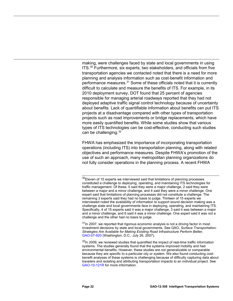making, were challenges faced by state and local governments in using ITS.<sup>[30](#page-25-0)</sup> Furthermore, six experts, two stakeholders, and officials from five transportation agencies we contacted noted that there is a need for more planning and analysis information such as cost-benefit information and performance measures.<sup>[31](#page-25-1)</sup> Some of these officials noted that it is currently difficult to calculate and measure the benefits of ITS. For example, in its 2010 deployment survey, DOT found that 25 percent of agencies responsible for managing arterial roadways reported that they had not deployed adaptive traffic signal control technology because of uncertainty about benefits. Lack of quantifiable information about benefits can put ITS projects at a disadvantage compared with other types of transportation projects such as road improvements or bridge replacements, which have more easily quantified benefits. While some studies show that various types of ITS technologies can be cost-effective, conducting such studies can be challenging. [32](#page-25-2)

FHWA has emphasized the importance of incorporating transportation operations (including ITS) into transportation planning, along with related objectives and performance measures. Despite FHWA's promotion of the use of such an approach, many metropolitan planning organizations do not fully consider operations in the planning process. A recent FHWA

<span id="page-25-1"></span> $31$ In 2007, we reported that rigorous economic analysis is not a driving factor in most investment decisions by state and local governments. See GAO, *Surface Transportation: Strategies Are Available for Making Existing Road Infrastructure Perform Better,*  [GAO-07-920](http://www.gao.gov/products/GAO-07-920) (Washington, D.C.: July 26, 2007).

<span id="page-25-2"></span> $32$ In 2009, we reviewed studies that quantified the impact of real-time traffic information systems. The studies generally found that the systems improved mobility and had environmental benefits. However, these studies are not generalizable or comparable because they are specific to a particular city or system. We also found conducting costbenefit analyses of these systems is challenging because of difficulty capturing data about travelers and isolating and attributing transportation impacts to an individual project. See [GAO-10-121R](http://www.gao.gov/products/GAO-10-121R) for more information.

<span id="page-25-0"></span> $\overline{a}$  $30$ Eleven of 15 experts we interviewed said that limitations of planning processes constituted a challenge to deploying, operating, and maintaining ITS technologies for traffic management. Of these, 5 said they were a major challenge, 2 said they were between a major and a minor challenge, and 4 said they were a minor challenge. One expert said that limitations of planning processes did not constitute a challenge. The remaining 3 experts said they had no basis to judge. Thirteen of 15 experts we interviewed noted the availability of information to support sound decision making was a challenge state and local governments face in deploying, operating, and maintaining ITS. Specifically, 4 of 15 experts said it was a major challenge, 3 said it was between a major and a minor challenge, and 6 said it was a minor challenge. One expert said it was not a challenge and the other had no basis to judge.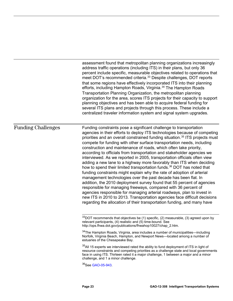assessment found that metropolitan planning organizations increasingly address traffic operations (including ITS) in their plans, but only 36 percent include specific, measurable objectives related to operations that meet DOT's recommended criteria.<sup>[33](#page-26-0)</sup> Despite challenges, DOT reports that some regions have effectively incorporated ITS into their planning efforts, including Hampton Roads, Virginia.<sup>[34](#page-26-1)</sup> The Hampton Roads Transportation Planning Organization, the metropolitan planning organization for the area, scores ITS projects for their capacity to support planning objectives and has been able to acquire federal funding for several ITS plans and projects through this process. These include a centralized traveler information system and signal system upgrades.

#### Funding Challenges

Funding constraints pose a significant challenge to transportation agencies in their efforts to deploy ITS technologies because of competing priorities and an overall constrained funding situation.<sup>[35](#page-26-2)</sup> ITS projects must compete for funding with other surface transportation needs, including construction and maintenance of roads, which often take priority, according to officials from transportation and stakeholder agencies we interviewed. As we reported in 2005, transportation officials often view adding a new lane to a highway more favorably than ITS when deciding how to spend their limited transportation funds.<sup>[36](#page-26-3)</sup> DOT has noted that funding constraints might explain why the rate of adoption of arterial management technologies over the past decade has been flat. In addition, the 2010 deployment survey found that 55 percent of agencies responsible for managing freeways, compared with 36 percent of agencies responsible for managing arterial roadways, plan to invest in new ITS in 2010 to 2013. Transportation agencies face difficult decisions regarding the allocation of their transportation funding, and many have

<span id="page-26-0"></span> $\overline{a}$  $33$ DOT recommends that objectives be (1) specific, (2) measurable, (3) agreed upon by relevant participants, (4) realistic and (5) time-bound. See [http://ops.fhwa.dot.gov/publications/fhwahop10027/chap\\_2.htm.](http://ops.fhwa.dot.gov/publications/fhwahop10027/chap_2.htm)

<span id="page-26-1"></span><sup>34</sup>The Hampton Roads, Virginia, area includes a number of municipalities—including Norfolk, Virginia Beach, Hampton, and Newport News—located among a number of estuaries of the Chesapeake Bay.

<span id="page-26-2"></span> $35$ All 15 experts we interviewed rated the ability to fund deployment of ITS in light of resource constraints and competing priorities as a challenge state and local governments face in using ITS. Thirteen rated it a major challenge, 1 between a major and a minor challenge, and 1 a minor challenge.

<span id="page-26-3"></span><sup>36</sup>See GAO-05-943.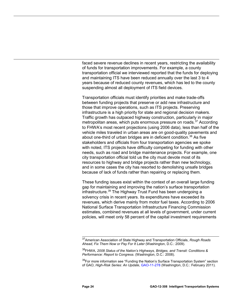faced severe revenue declines in recent years, restricting the availability of funds for transportation improvements. For example, a county transportation official we interviewed reported that the funds for deploying and maintaining ITS have been reduced annually over the last 3 to 4 years because of reduced county revenues, which has led to the county suspending almost all deployment of ITS field devices.

Transportation officials must identify priorities and make trade-offs between funding projects that preserve or add new infrastructure and those that improve operations, such as ITS projects. Preserving infrastructure is a high priority for state and regional decision makers. Traffic growth has outpaced highway construction, particularly in major metropolitan areas, which puts enormous pressure on roads.<sup>[37](#page-27-0)</sup> According to FHWA's most recent projections (using 2006 data), less than half of the vehicle miles traveled in urban areas are on good-quality pavements and about one-third of urban bridges are in deficient condition.<sup>[38](#page-27-1)</sup> As five stakeholders and officials from four transportation agencies we spoke with noted, ITS projects have difficulty competing for funding with other needs, such as road and bridge maintenance projects. For example, one city transportation official told us the city must devote most of its resources to highway and bridge projects rather than new technology, and in some cases the city has resorted to demolishing unsafe bridges because of lack of funds rather than repairing or replacing them.

These funding issues exist within the context of an overall large funding gap for maintaining and improving the nation's surface transportation infrastructure. [39](#page-27-2) The Highway Trust Fund has been undergoing a solvency crisis in recent years. Its expenditures have exceeded its revenues, which derive mainly from motor fuel taxes. According to 2006 National Surface Transportation Infrastructure Financing Commission estimates, combined revenues at all levels of government, under current policies, will meet only 58 percent of the capital investment requirements

<span id="page-27-0"></span> $\overline{\phantom{a}}$ 37American Association of State Highway and Transportation Officials, *Rough Roads Ahead, Fix Them Now or Pay For It Later* (Washington, D.C.: 2009).

<sup>38</sup>FHWA, *2008 Status of the Nation's Highways, Bridges, and Transit: Conditions & Performance: Report to Congress*. (Washington, D.C.: 2008).

<span id="page-27-2"></span><span id="page-27-1"></span><sup>&</sup>lt;sup>39</sup>For more information see "Funding the Nation's Surface Transportation System" section of GAO, *High-Risk Series: An Update*[, GAO-11-278](http://www.gao.gov/products/GAO-11-278) (Washington, D.C.: February 2011).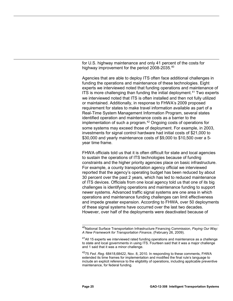for U.S. highway maintenance and only 41 percent of the costs for highway improvement for the period 2008-2035.[40](#page-28-0)

Agencies that are able to deploy ITS often face additional challenges in funding the operations and maintenance of these technologies. Eight experts we interviewed noted that funding operations and maintenance of ITS is more challenging than funding the initial deployment.<sup>[41](#page-28-1)</sup> Two experts we interviewed noted that ITS is often installed and then not fully utilized or maintained. Additionally, in response to FHWA's 2009 proposed requirement for states to make travel information available as part of a Real-Time System Management Information Program, several states identified operation and maintenance costs as a barrier to the implementation of such a program.<sup>[42](#page-28-2)</sup> Ongoing costs of operations for some systems may exceed those of deployment. For example, in 2003, investments for signal control hardware had initial costs of \$21,000 to \$30,000 and yearly maintenance costs of \$9,000 to \$10,500 over a 5 year time frame.

FHWA officials told us that it is often difficult for state and local agencies to sustain the operations of ITS technologies because of funding constraints and the higher priority agencies place on basic infrastructure. For example, a county transportation agency official we interviewed reported that the agency's operating budget has been reduced by about 30 percent over the past 2 years, which has led to reduced maintenance of ITS devices. Officials from one local agency told us that one of its big challenges is identifying operations and maintenance funding to support newer systems. Advanced traffic signal systems are one area in which operations and maintenance funding challenges can limit effectiveness and impede greater expansion. According to FHWA, over 50 deployments of these signal systems have occurred over the last two decades. However, over half of the deployments were deactivated because of

<span id="page-28-0"></span> $\overline{a}$ 40National Surface Transportation Infrastructure Financing Commission, *Paying Our Way: A New Framework for Transportation Finance*, (February 26, 2009).

<span id="page-28-1"></span> $41$ All 15 experts we interviewed rated funding operations and maintenance as a challenge to state and local governments in using ITS. Fourteen said that it was a major challenge and 1 said that it was a minor challenge.

<span id="page-28-2"></span><sup>4275</sup> *Fed. Reg.* 68418,68422, Nov. 8, 2010. In responding to these comments, FHWA extended its time frames for implementation and modified the final rule's language to include an explicit reference to the eligibility of operations, including applicable preventive maintenance, for federal funding.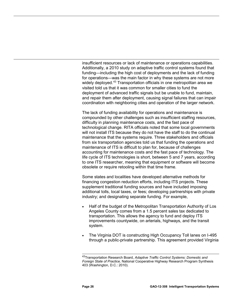insufficient resources or lack of maintenance or operations capabilities. Additionally, a 2010 study on adaptive traffic control systems found that funding—including the high cost of deployments and the lack of funding for operations—was the main factor in why these systems are not more widely deployed.<sup>[43](#page-29-0)</sup> Transportation officials in one metropolitan area we visited told us that it was common for smaller cities to fund the deployment of advanced traffic signals but be unable to fund, maintain, and repair them after deployment, causing signal failures that can impair coordination with neighboring cities and operation of the larger network.

The lack of funding availability for operations and maintenance is compounded by other challenges such as insufficient staffing resources, difficulty in planning maintenance costs, and the fast pace of technological change. RITA officials noted that some local governments will not install ITS because they do not have the staff to do the continual maintenance that the systems require. Three stakeholders and officials from six transportation agencies told us that funding the operations and maintenance of ITS is difficult to plan for, because of challenges accounting for maintenance costs and the fast pace of technology. The life cycle of ITS technologies is short, between 5 and 7 years, according to one ITS researcher, meaning that equipment or software will become obsolete or require retooling within that time frame.

Some states and localities have developed alternative methods for financing congestion reduction efforts, including ITS projects. These supplement traditional funding sources and have included imposing additional tolls, local taxes, or fees; developing partnerships with private industry; and designating separate funding. For example,

- Half of the budget of the Metropolitan Transportation Authority of Los Angeles County comes from a 1.5 percent sales tax dedicated to transportation. This allows the agency to fund and deploy ITS improvements countywide, on arterials, highways, and the transit system.
- The Virginia DOT is constructing High Occupancy Toll lanes on I-495 through a public-private partnership. This agreement provided Virginia

 $\overline{a}$ 

<span id="page-29-0"></span><sup>43</sup>Transportation Research Board, *Adaptive Traffic Control Systems: Domestic and Foreign State of Practice,* National Cooperative Highway Research Program Synthesis 403 (Washington, D.C.: 2010).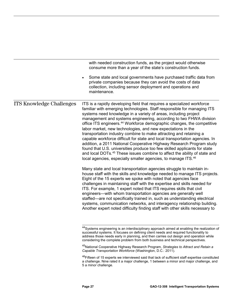|                                 | with needed construction funds, as the project would otherwise<br>consume more than a year of the state's construction funds.                                                                                                                                                                                                                                                                                                                                                                                                                                                                                                                                                                                                                                                                                                                                                                                                    |
|---------------------------------|----------------------------------------------------------------------------------------------------------------------------------------------------------------------------------------------------------------------------------------------------------------------------------------------------------------------------------------------------------------------------------------------------------------------------------------------------------------------------------------------------------------------------------------------------------------------------------------------------------------------------------------------------------------------------------------------------------------------------------------------------------------------------------------------------------------------------------------------------------------------------------------------------------------------------------|
|                                 | Some state and local governments have purchased traffic data from<br>private companies because they can avoid the costs of data<br>collection, including sensor deployment and operations and<br>maintenance.                                                                                                                                                                                                                                                                                                                                                                                                                                                                                                                                                                                                                                                                                                                    |
| <b>ITS Knowledge Challenges</b> | ITS is a rapidly developing field that requires a specialized workforce<br>familiar with emerging technologies. Staff responsible for managing ITS<br>systems need knowledge in a variety of areas, including project<br>management and systems engineering, according to two FHWA division<br>office ITS engineers. <sup>44</sup> Workforce demographic changes, the competitive<br>labor market, new technologies, and new expectations in the<br>transportation industry combine to make attracting and retaining a<br>capable workforce difficult for state and local transportation agencies. In<br>addition, a 2011 National Cooperative Highway Research Program study<br>found that U.S. universities produce too few skilled applicants for state<br>and local DOTs. <sup>45</sup> These issues combine to affect the ability of state and<br>local agencies, especially smaller agencies, to manage ITS. <sup>46</sup> |
|                                 | Many state and local transportation agencies struggle to maintain in-<br>house staff with the skills and knowledge needed to manage ITS projects.<br>Eight of the 15 experts we spoke with noted that agencies face<br>challenges in maintaining staff with the expertise and skills needed for<br>ITS. For example, 1 expert noted that ITS requires skills that civil<br>engineers—with whom transportation agencies are generally well<br>staffed—are not specifically trained in, such as understanding electrical<br>systems, communication networks, and interagency relationship building.<br>Another expert noted difficulty finding staff with other skills necessary to                                                                                                                                                                                                                                                |
|                                 | <sup>44</sup> Systems engineering is an interdisciplinary approach aimed at enabling the realization of<br>successful systems. It focuses on defining client needs and required functionality to<br>address those needs early in planning, and then carries out design and operation while<br>considering the complete problem from both business and technical perspectives.                                                                                                                                                                                                                                                                                                                                                                                                                                                                                                                                                    |
|                                 | <sup>45</sup> National Cooperative Highway Research Program, Strategies to Attract and Retain a<br>Capable Transportation Workforce (Washington, D.C.: 2011).                                                                                                                                                                                                                                                                                                                                                                                                                                                                                                                                                                                                                                                                                                                                                                    |
|                                 | $46 - 6$<br>المعادل والمعامل المتاوي والمتحدث والمتاورة والمتحدث                                                                                                                                                                                                                                                                                                                                                                                                                                                                                                                                                                                                                                                                                                                                                                                                                                                                 |

<span id="page-30-2"></span><span id="page-30-1"></span><span id="page-30-0"></span><sup>&</sup>lt;sup>46</sup>Fifteen of 15 experts we interviewed said that lack of sufficient staff expertise constituted a challenge. Nine rated it a major challenge, 1 between a minor and major challenge, and 5 a minor challenge.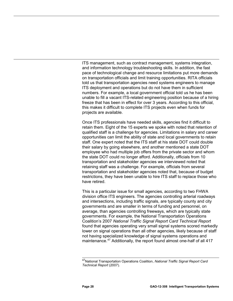ITS management, such as contract management, systems integration, and information technology troubleshooting skills. In addition, the fast pace of technological change and resource limitations put more demands on transportation officials and limit training opportunities. RITA officials told us that transportation agencies need systems engineers to manage ITS deployment and operations but do not have them in sufficient numbers. For example, a local government official told us he has been unable to fill a vacant ITS-related engineering position because of a hiring freeze that has been in effect for over 3 years. According to this official, this makes it difficult to complete ITS projects even when funds for projects are available.

Once ITS professionals have needed skills, agencies find it difficult to retain them. Eight of the 15 experts we spoke with noted that retention of qualified staff is a challenge for agencies. Limitations in salary and career opportunities can limit the ability of state and local governments to retain staff. One expert noted that the ITS staff at his state DOT could double their salary by going elsewhere, and another mentioned a state DOT employee who had multiple job offers from the private sector and whom the state DOT could no longer afford. Additionally, officials from 10 transportation and stakeholder agencies we interviewed noted that retaining staff was a challenge. For example, officials from several transportation and stakeholder agencies noted that, because of budget restrictions, they have been unable to hire ITS staff to replace those who have retired.

This is a particular issue for small agencies, according to two FHWA division office ITS engineers. The agencies controlling arterial roadways and intersections, including traffic signals, are typically county and city governments and are smaller in terms of funding and personnel, on average, than agencies controlling freeways, which are typically state governments. For example, the National Transportation Operations Coalition's 2007 *National Traffic Signal Report Card Technical Report* found that agencies operating very small signal systems scored markedly lower on signal operations than all other agencies, likely because of staff not having specialized knowledge of signal systems operations and maintenance.<sup>[47](#page-31-0)</sup> Additionally, the report found almost one-half of all 417

<span id="page-31-0"></span> $\overline{\phantom{a}}$ 47National Transportation Operations Coalition, *National Traffic Signal Report Card Technical Report* (2007).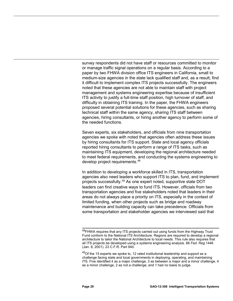survey respondents did not have staff or resources committed to monitor or manage traffic signal operations on a regular basis. According to a paper by two FHWA division office ITS engineers in California, small to medium-size agencies in the state lack qualified staff and, as a result, find it difficult to implement complex ITS projects successfully. The engineers noted that these agencies are not able to maintain staff with project management and systems engineering expertise because of insufficient ITS activity to justify a full-time staff position, high turnover of staff, and difficulty in obtaining ITS training. In the paper, the FHWA engineers proposed several potential solutions for these agencies, such as sharing technical staff within the same agency, sharing ITS staff between agencies, hiring consultants, or hiring another agency to perform some of the needed functions.

Seven experts, six stakeholders, and officials from nine transportation agencies we spoke with noted that agencies often address these issues by hiring consultants for ITS support. State and local agency officials reported hiring consultants to perform a range of ITS tasks, such as maintaining ITS equipment, developing the regional architecture needed to meet federal requirements, and conducting the systems engineering to develop project requirements.[48](#page-32-0)

In addition to developing a workforce skilled in ITS, transportation agencies also need leaders who support ITS to plan, fund, and implement projects successfully.[49](#page-32-1) As one expert noted, supportive state DOT leaders can find creative ways to fund ITS. However, officials from two transportation agencies and five stakeholders noted that leaders in their areas do not always place a priority on ITS, especially in the context of limited funding, when other projects such as bridge and roadway maintenance and building capacity can take precedence. Officials from some transportation and stakeholder agencies we interviewed said that

<span id="page-32-0"></span> $\overline{\phantom{a}}$ <sup>48</sup>FHWA requires that any ITS projects carried out using funds from the Highway Trust Fund conform to the National ITS Architecture. Regions are required to develop a regional architecture to tailor the National Architecture to local needs. This rule also requires that all ITS projects be developed using a systems engineering analysis. 66 *Fed. Reg.*1446 (Jan. 8, 2001). 23 C.F.R. Part 940.

<span id="page-32-1"></span> $49$ Of the 15 experts we spoke to, 12 rated institutional leadership and support as a challenge facing state and local governments in deploying, operating, and maintaining ITS. Five identified it as a major challenge, 3 as between a major and a minor challenge, 4 as a minor challenge, 2 as not a challenge, and 1 had no basis to judge.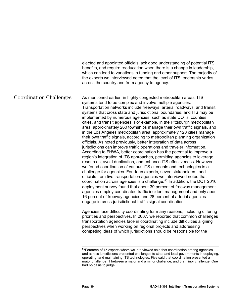|                                | elected and appointed officials lack good understanding of potential ITS<br>benefits, and require reeducation when there is a change in leadership,<br>which can lead to variations in funding and other support. The majority of<br>the experts we interviewed noted that the level of ITS leadership varies<br>across the country and from agency to agency.                                                                                                                                                                                                                                                                                                                                                                                                                                                                                                                                                                                                                                                                                                                                                                                                                                                                                                                                                                                                                                                                                                                                                                                                                                                                                        |
|--------------------------------|-------------------------------------------------------------------------------------------------------------------------------------------------------------------------------------------------------------------------------------------------------------------------------------------------------------------------------------------------------------------------------------------------------------------------------------------------------------------------------------------------------------------------------------------------------------------------------------------------------------------------------------------------------------------------------------------------------------------------------------------------------------------------------------------------------------------------------------------------------------------------------------------------------------------------------------------------------------------------------------------------------------------------------------------------------------------------------------------------------------------------------------------------------------------------------------------------------------------------------------------------------------------------------------------------------------------------------------------------------------------------------------------------------------------------------------------------------------------------------------------------------------------------------------------------------------------------------------------------------------------------------------------------------|
| <b>Coordination Challenges</b> | As mentioned earlier, in highly congested metropolitan areas, ITS<br>systems tend to be complex and involve multiple agencies.<br>Transportation networks include freeways, arterial roadways, and transit<br>systems that cross state and jurisdictional boundaries; and ITS may be<br>implemented by numerous agencies, such as state DOTs, counties,<br>cities, and transit agencies. For example, in the Pittsburgh metropolitan<br>area, approximately 260 townships manage their own traffic signals, and<br>in the Los Angeles metropolitan area, approximately 120 cities manage<br>their own traffic signals, according to metropolitan planning organization<br>officials. As noted previously, better integration of data across<br>jurisdictions can improve traffic operations and traveler information.<br>According to FHWA, better coordination has the potential to improve a<br>region's integration of ITS approaches, permitting agencies to leverage<br>resources, avoid duplication, and enhance ITS effectiveness. However,<br>we found coordination of various ITS elements and technologies is a<br>challenge for agencies. Fourteen experts, seven stakeholders, and<br>officials from five transportation agencies we interviewed noted that<br>coordination across agencies is a challenge. <sup>50</sup> In addition, the DOT 2010<br>deployment survey found that about 39 percent of freeway management<br>agencies employ coordinated traffic incident management and only about<br>16 percent of freeway agencies and 28 percent of arterial agencies<br>engage in cross-jurisdictional traffic signal coordination. |
|                                | Agencies face difficulty coordinating for many reasons, including differing<br>priorities and perspectives. In 2007, we reported that common challenges<br>transportation agencies face in coordinating include difficulties aligning<br>perspectives when working on regional projects and addressing<br>competing ideas of which jurisdictions should be responsible for the                                                                                                                                                                                                                                                                                                                                                                                                                                                                                                                                                                                                                                                                                                                                                                                                                                                                                                                                                                                                                                                                                                                                                                                                                                                                        |
|                                |                                                                                                                                                                                                                                                                                                                                                                                                                                                                                                                                                                                                                                                                                                                                                                                                                                                                                                                                                                                                                                                                                                                                                                                                                                                                                                                                                                                                                                                                                                                                                                                                                                                       |

<span id="page-33-0"></span><sup>&</sup>lt;sup>50</sup>Fourteen of 15 experts whom we interviewed said that coordination among agencies and across jurisdictions presented challenges to state and local governments in deploying, operating, and maintaining ITS technologies. Five said that coordination presented a major challenge, 1 between a major and a minor challenge, and 8 a minor challenge. One had no basis to judge.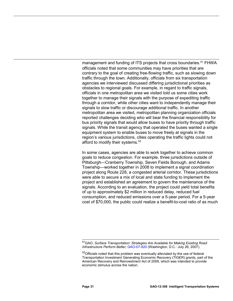management and funding of ITS projects that cross boundaries.<sup>[51](#page-34-0)</sup> FHWA officials noted that some communities may have priorities that are contrary to the goal of creating free-flowing traffic, such as slowing down traffic through the town. Additionally, officials from six transportation agencies we interviewed discussed differing jurisdictional priorities as obstacles to regional goals. For example, in regard to traffic signals, officials in one metropolitan area we visited told us some cities work together to manage their signals with the purpose of expediting traffic through a corridor, while other cities want to independently manage their signals to slow traffic or discourage additional traffic. In another metropolitan area we visited, metropolitan planning organization officials reported challenges deciding who will bear the financial responsibility for bus priority signals that would allow buses to have priority through traffic signals. While the transit agency that operated the buses wanted a single equipment system to enable buses to move freely at signals in the region's various jurisdictions, cities operating the traffic lights could not afford to modify their systems.<sup>[52](#page-34-1)</sup>

In some cases, agencies are able to work together to achieve common goals to reduce congestion. For example, three jurisdictions outside of Pittsburgh—Cranberry Township, Seven Fields Borough, and Adams Township—worked together in 2008 to implement a signal coordination project along Route 228, a congested arterial corridor. These jurisdictions were able to secure a mix of local and state funding to implement the project and established an agreement to govern the maintenance of the signals. According to an evaluation, the project could yield total benefits of up to approximately \$2 million in reduced delay, reduced fuel consumption, and reduced emissions over a 5-year period. For a 5-year cost of \$70,000, the public could realize a benefit-to-cost ratio of as much

<span id="page-34-0"></span> $\overline{a}$ 51GAO, *Surface Transportation: Strategies Are Available for Making Existing Road Infrastructure Perform Better,* [GAO-07-920](http://www.gao.gov/products/GAO-07-920) (Washington, D.C.: July 26, 2007).

<span id="page-34-1"></span> $52$ Officials noted that this problem was eventually alleviated by the use of federal Transportation Investment Generating Economic Recovery (TIGER) grants, part of the American Recovery and Reinvestment Act of 2009, which was intended to provide economic stimulus across the nation.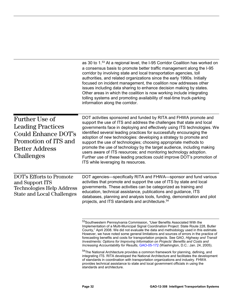<span id="page-35-2"></span><span id="page-35-1"></span><span id="page-35-0"></span>

|                                                                                                                                         | as 30 to 1.53 At a regional level, the I-95 Corridor Coalition has worked on<br>a consensus basis to promote better traffic management along the I-95<br>corridor by involving state and local transportation agencies, toll<br>authorities, and related organizations since the early 1990s. Initially<br>focused on incident management, the coalition now addresses other<br>issues including data sharing to enhance decision making by states.<br>Other areas in which the coalition is now working include integrating<br>tolling systems and promoting availability of real-time truck-parking<br>information along the corridor.                                                                   |
|-----------------------------------------------------------------------------------------------------------------------------------------|------------------------------------------------------------------------------------------------------------------------------------------------------------------------------------------------------------------------------------------------------------------------------------------------------------------------------------------------------------------------------------------------------------------------------------------------------------------------------------------------------------------------------------------------------------------------------------------------------------------------------------------------------------------------------------------------------------|
| <b>Further Use of</b><br><b>Leading Practices</b><br>Could Enhance DOT's<br>Promotion of ITS and<br><b>Better Address</b><br>Challenges | DOT activities sponsored and funded by RITA and FHWA promote and<br>support the use of ITS and address the challenges that state and local<br>governments face in deploying and effectively using ITS technologies. We<br>identified several leading practices for successfully encouraging the<br>adoption of new technologies: developing a strategy to promote and<br>support the use of technologies; choosing appropriate methods to<br>promote the use of technology by the target audience, including making<br>users aware of ITS resources; and monitoring technology adoption.<br>Further use of these leading practices could improve DOT's promotion of<br>ITS while leveraging its resources. |
| <b>DOT's Efforts to Promote</b><br>and Support ITS<br><b>Technologies Help Address</b><br><b>State and Local Challenges</b>             | DOT agencies—specifically RITA and FHWA—sponsor and fund various<br>activities that promote and support the use of ITS by state and local<br>governments. These activities can be categorized as training and<br>education, technical assistance, publications and guidance, ITS<br>databases, planning and analysis tools, funding, demonstration and pilot<br>projects, and ITS standards and architecture. <sup>54</sup>                                                                                                                                                                                                                                                                                |
|                                                                                                                                         | <sup>53</sup> Southwestern Pennsylvania Commission, "User Benefits Associated With the<br>Implementation of a Multi-Municipal Signal Coordination Project: State Route 228, Butler<br>County," April 2008. We did not evaluate the data and methodology used in this estimate.<br>However, we have noted some general limitations and sources of errors in the practice of<br>forecasting benefits and costs for transportation projects. See GAO, Highway and Transit<br>Investments: Options for Improving Information on Projects' Benefits and Costs and<br>Increasing Accountability for Results, GAO-05-172 (Washington, D.C.: Jan. 24, 2005).                                                       |
|                                                                                                                                         | <sup>54</sup> The National Architecture provides a common framework for planning, defining, and<br>integrating ITS. RITA developed the National Architecture and facilitates the development<br>of standards in coordination with transportation organizations and industry. FHWA<br>provides technical assistance to state and local government officials in using the<br>standards and architecture.                                                                                                                                                                                                                                                                                                     |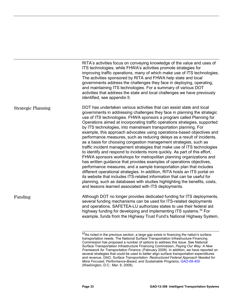|                           | RITA's activities focus on conveying knowledge of the value and uses of<br>ITS technologies, while FHWA's activities promote strategies for<br>improving traffic operations, many of which make use of ITS technologies.<br>The activities sponsored by RITA and FHWA help state and local<br>governments address the challenges they face in deploying, operating,<br>and maintaining ITS technologies. For a summary of various DOT<br>activities that address the state and local challenges we have previously<br>identified, see appendix II.                                                                                                                                                                                                                                                                                                                                                                                                                                                                                                                                                                                                                                                                                                                                       |
|---------------------------|------------------------------------------------------------------------------------------------------------------------------------------------------------------------------------------------------------------------------------------------------------------------------------------------------------------------------------------------------------------------------------------------------------------------------------------------------------------------------------------------------------------------------------------------------------------------------------------------------------------------------------------------------------------------------------------------------------------------------------------------------------------------------------------------------------------------------------------------------------------------------------------------------------------------------------------------------------------------------------------------------------------------------------------------------------------------------------------------------------------------------------------------------------------------------------------------------------------------------------------------------------------------------------------|
| <b>Strategic Planning</b> | DOT has undertaken various activities that can assist state and local<br>governments in addressing challenges they face in planning the strategic<br>use of ITS technologies. FHWA sponsors a program called Planning for<br>Operations aimed at incorporating traffic operations strategies, supported<br>by ITS technologies, into mainstream transportation planning. For<br>example, this approach advocates using operations-based objectives and<br>performance measures, such as reducing delays as a result of incidents,<br>as a basis for choosing congestion management strategies, such as<br>traffic incident management strategies that make use of ITS technologies<br>to identify and respond to incidents more quickly. As part of this effort,<br>FHWA sponsors workshops for metropolitan planning organizations and<br>has written guidance that provides examples of operations objectives,<br>performance measures, and a sample transportation plan that includes<br>different operational strategies. In addition, RITA hosts an ITS portal on<br>its website that includes ITS-related information that can be useful for<br>planning, such as databases with studies highlighting the benefits, costs,<br>and lessons learned associated with ITS deployments. |
| Funding                   | Although DOT no longer provides dedicated funding for ITS deployments,<br>several funding mechanisms can be used for ITS-related deployments<br>and operations. SAFETEA-LU authorizes states to use their federal aid<br>highway funding for developing and implementing ITS systems. <sup>55</sup> For<br>example, funds from the Highway Trust Fund's National Highway System,                                                                                                                                                                                                                                                                                                                                                                                                                                                                                                                                                                                                                                                                                                                                                                                                                                                                                                         |
|                           |                                                                                                                                                                                                                                                                                                                                                                                                                                                                                                                                                                                                                                                                                                                                                                                                                                                                                                                                                                                                                                                                                                                                                                                                                                                                                          |

<span id="page-36-0"></span> $55$ As noted in the previous section, a large gap exists in financing the nation's surface transportation needs. The National Surface Transportation Infrastructure Financing Commission has proposed a number of options to address this issue. See National Surface Transportation Infrastructure Financing Commission, *Paying Our Way: A New Framework for Transportation Finance*, (February 2009). In addition, we have reported on several strategies that could be used to better align surface transportation expenditures and revenue. GAO, *Surface Transportation: Restructured Federal Approach Needed for More Focused, Performance-Based, and Sustainable Programs*, [GAO-08-400](http://www.gao.gov/products/GAO-08-400) (Washington, D.C.: Mar. 6, 2008).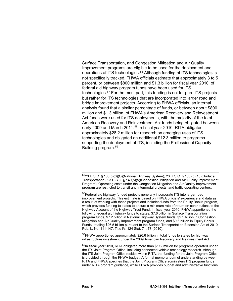Surface Transportation, and Congestion Mitigation and Air Quality Improvement programs are eligible to be used for the deployment and operations of ITS technologies.<sup>[56](#page-37-0)</sup> Although funding of ITS technologies is not specifically tracked, FHWA officials estimate that approximately 3 to 5 percent, or between \$800 million and \$1.3 billion for fiscal year 2010, of federal aid highway program funds have been used for ITS technologies.<sup>[57](#page-37-1)</sup> For the most part, this funding is not for pure ITS projects but rather for ITS technologies that are incorporated into larger road and bridge improvement projects. According to FHWA officials, an internal analysis found that a similar percentage of funds, or between about \$800 million and \$1.3 billion, of FHWA's American Recovery and Reinvestment Act funds were used for ITS deployments, with the majority of the total American Recovery and Reinvestment Act funds being obligated between early 2009 and March 2011.<sup>[58](#page-37-2)</sup> In fiscal year 2010, RITA obligated approximately \$28.2 million for research on emerging uses of ITS technologies and obligated an additional \$12.3 million to programs supporting the deployment of ITS, including the Professional Capacity Building program.[59](#page-37-3)

<span id="page-37-2"></span><sup>58</sup>FHWA apportioned approximately \$26.6 billion in total funds to states for highway infrastructure investment under the 2009 American Recovery and Reinvestment Act.

<span id="page-37-0"></span> $\overline{a}$ <sup>56</sup>23 U.S.C. § 103(b)(6)(O)(National Highway System); 23 U.S.C. § 133 (b)(13)(Surface Transportation); 23 U.S.C. § 149(b)(5)(Congestion Mitigation and Air Quality Improvement Program). Operating costs under the Congestion Mitigation and Air Quality Improvement program are restricted to transit and intermodal projects, and traffic operating centers.

<span id="page-37-1"></span><sup>&</sup>lt;sup>57</sup>Federal aid highway funded projects generally incorporate ITS into larger road improvement projects. This estimate is based on FHWA officials' experience and data as a result of working with these projects and includes funds from the Equity Bonus program, which provides funding to states to ensure a minimum rate of return on contributions to the Highway Account of the Highway Trust Fund. In fiscal year 2010, FHWA apportioned the following federal aid highway funds to states: \$7.6 billion in Surface Transportation program funds, \$7.2 billion in National Highway System funds, \$2.1 billion in Congestion Mitigation and Air Quality Improvement program funds, and \$9.6 billion in Equity Bonus Funds, totaling \$26.5 billion pursuant to the Surface Transportation Extension Act of 2010, Pub. L. No. 111-147, Title IV, 124 Stat. 71, 78 (2010).

<span id="page-37-3"></span><sup>&</sup>lt;sup>59</sup>In fiscal year 2010, RITA obligated more than \$112 million for programs operated under the ITS Joint Program Office, including connected vehicle technology research. Although the ITS Joint Program Office resides within RITA, the funding for the Joint Program Office is provided through the FHWA budget. A formal memorandum of understanding between RITA and FHWA specifies that the Joint Program Office administers ITS program funds under RITA program guidance, while FHWA provides budget and administrative functions.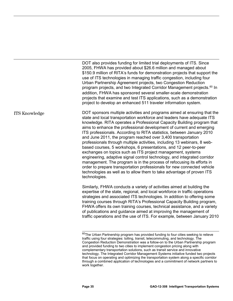DOT also provides funding for limited trial deployments of ITS. Since 2005, FHWA has provided about \$26.6 million and managed about \$150.9 million of RITA's funds for demonstration projects that support the use of ITS technologies in managing traffic congestion, including four Urban Partnership Agreement projects, two Congestion Reduction program projects, and two Integrated Corridor Management projects.<sup>[60](#page-38-0)</sup> In addition, FHWA has sponsored several smaller-scale demonstration projects that examine and test ITS applications, such as a demonstration project to develop an enhanced 511 traveler information system.

DOT sponsors multiple activities and programs aimed at ensuring that the state and local transportation workforce and leaders have adequate ITS knowledge. RITA operates a Professional Capacity Building program that aims to enhance the professional development of current and emerging ITS professionals. According to RITA statistics, between January 2010 and June 2011, the program reached over 3,400 transportation professionals through multiple activities, including 13 webinars, 8 webbased courses, 5 workshops, 6 presentations, and 12 peer-to-peer exchanges on topics such as ITS project management, systems engineering, adaptive signal control technology, and integrated corridor management. The program is in the process of refocusing its efforts in order to prepare transportation professionals for new connected vehicle technologies as well as to allow them to take advantage of proven ITS technologies. ITS Knowledge

> Similarly, FHWA conducts a variety of activities aimed at building the expertise of the state, regional, and local workforce in traffic operations strategies and associated ITS technologies. In addition to offering some training courses through RITA's Professional Capacity Building program, FHWA offers its own training courses, technical assistance, and a variety of publications and guidance aimed at improving the management of traffic operations and the use of ITS. For example, between January 2010

<span id="page-38-0"></span> $\overline{\phantom{a}}$  $^{60}$ The Urban Partnership program has provided funding to four cities seeking to relieve traffic using four strategies: tolling, transit, telecommuting, and technology. The Congestion Reduction Demonstration was a follow-on to the Urban Partnership program and provided funding to two cities to implement congestion pricing along with complementary transportation solutions, such as transit service and innovative technology. The Integrated Corridor Management Systems initiative funded two projects that focus on operating and optimizing the transportation system along a specific corridor through a combined application of technologies and a commitment of network partners to work together.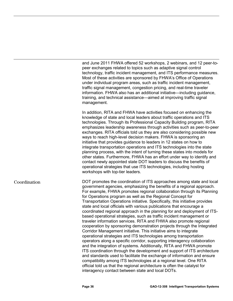and June 2011 FHWA offered 52 workshops, 2 webinars, and 12 peer-topeer exchanges related to topics such as adaptive signal control technology, traffic incident management, and ITS performance measures. Most of these activities are sponsored by FHWA's Office of Operations under individual program areas, such as traffic incident management, traffic signal management, congestion pricing, and real-time traveler information. FHWA also has an additional initiative—including guidance, training, and technical assistance—aimed at improving traffic signal management.

In addition, RITA and FHWA have activities focused on enhancing the knowledge of state and local leaders about traffic operations and ITS technologies. Through its Professional Capacity Building program, RITA emphasizes leadership awareness through activities such as peer-to-peer exchanges. RITA officials told us they are also considering possible new ways to reach high-level decision makers. FHWA is sponsoring an initiative that provides guidance to leaders in 12 states on how to integrate transportation operations and ITS technologies into the state planning process, with the intent of turning these states into models for other states. Furthermore, FHWA has an effort under way to identify and contact newly appointed state DOT leaders to discuss the benefits of operational strategies that use ITS technologies, including hosting workshops with top-tier leaders.

#### Coordination

DOT promotes the coordination of ITS approaches among state and local government agencies, emphasizing the benefits of a regional approach. For example, FHWA promotes regional collaboration through its Planning for Operations program as well as the Regional Concept for Transportation Operations initiative. Specifically, this initiative provides state and local officials with various publications that encourage a coordinated regional approach in the planning for and deployment of ITSbased operational strategies, such as traffic incident management or traveler information services. RITA and FHWA also promote regional cooperation by sponsoring demonstration projects through the Integrated Corridor Management initiative. This initiative aims to integrate operational strategies and ITS technologies among transportation operators along a specific corridor, supporting interagency collaboration and the integration of systems. Additionally, RITA and FHWA promote ITS coordination through the development and support of ITS architecture and standards used to facilitate the exchange of information and ensure compatibility among ITS technologies at a regional level. One RITA official told us that the regional architecture is often the catalyst for interagency contact between state and local DOTs.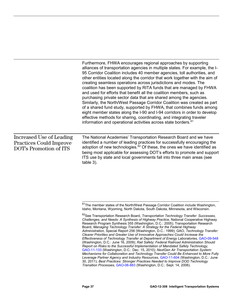|                                                                                      | Furthermore, FHWA encourages regional approaches by supporting<br>alliances of transportation agencies in multiple states. For example, the I-<br>95 Corridor Coalition includes 40 member agencies, toll authorities, and<br>other entities located along the corridor that work together with the aim of<br>creating seamless operations across jurisdictions and modes. The<br>coalition has been supported by RITA funds that are managed by FHWA<br>and used for efforts that benefit all the coalition members, such as<br>purchasing private sector data that are shared among the agencies.<br>Similarly, the North/West Passage Corridor Coalition was created as part<br>of a shared fund study, supported by FHWA, that combines funds among<br>eight member states along the I-90 and I-94 corridors in order to develop<br>effective methods for sharing, coordinating, and integrating traveler<br>information and operational activities across state borders. <sup>61</sup> |
|--------------------------------------------------------------------------------------|---------------------------------------------------------------------------------------------------------------------------------------------------------------------------------------------------------------------------------------------------------------------------------------------------------------------------------------------------------------------------------------------------------------------------------------------------------------------------------------------------------------------------------------------------------------------------------------------------------------------------------------------------------------------------------------------------------------------------------------------------------------------------------------------------------------------------------------------------------------------------------------------------------------------------------------------------------------------------------------------|
| Increased Use of Leading<br><b>Practices Could Improve</b><br>DOT's Promotion of ITS | The National Academies' Transportation Research Board and we have<br>identified a number of leading practices for successfully encouraging the<br>adoption of new technologies. <sup>62</sup> Of these, the ones we have identified as<br>being most applicable for assessing DOT's efforts to promote and support<br>ITS use by state and local governments fall into three main areas (see<br>table 3).                                                                                                                                                                                                                                                                                                                                                                                                                                                                                                                                                                                   |

<span id="page-40-0"></span> $\overline{\phantom{a}}$ <sup>61</sup>The member states of the North/West Passage Corridor Coalition include Washington, Idaho, Montana, Wyoming, North Dakota, South Dakota, Minnesota, and Wisconsin.

<span id="page-40-1"></span><sup>62</sup>See Transportation Research Board, *Transportation Technology Transfer: Successes, Challenges, and Needs: A Synthesis of Highway Practice,* National Cooperative Highway Research Program Synthesis 355 (Washington, D.C.: 2005); Transportation Research Board, *Managing Technology Transfer: A Strategy for the Federal Highway Administration,* Special Report 256 (Washington, D.C.: 1999); GAO, *Technology Transfer: Clearer Priorities and Greater Use of Innovative Approaches Could Increase the Effectiveness of Technology Transfer at Department of Energy Laboratories,* [GAO-09-548](http://www.gao.gov/products/GAO-09-548) (Washington, D.C.: June 16, 2009); *Rail Safety: Federal Railroad Administration Should Report on Risks to the Successful Implementation of Mandated Safety Technology,*  [GAO-11-133](http://www.gao.gov/products/GAO-11-133) (Washington, D.C.: Dec. 15, 2010); *NextGen Air Transportation System: Mechanisms for Collaboration and Technology Transfer Could Be Enhanced to More Fully Leverage Partner Agency and Industry Resources,* [GAO-11-604](http://www.gao.gov/products/GAO-11-604) (Washington, D.C.: June 30, 2011); *Best Practices: Stronger Practices Needed to Improve DOD Technology Transition Processes,* [GAO-06-883](http://www.gao.gov/products/GAO-06-883) (Washington, D.C.: Sept. 14, 2006).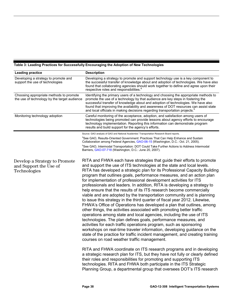#### <span id="page-41-0"></span>**Table 3: Leading Practices for Successfully Encouraging the Adoption of New Technologies**

| <b>Leading practice</b>                                                                 | <b>Description</b>                                                                                                                                                                                                                                                                                                                                                                                                                                                                                                                                                                                                                                                                                                                                                                                                                                                                                                                                                                                                                                                                                                                                                                                                                                                   |
|-----------------------------------------------------------------------------------------|----------------------------------------------------------------------------------------------------------------------------------------------------------------------------------------------------------------------------------------------------------------------------------------------------------------------------------------------------------------------------------------------------------------------------------------------------------------------------------------------------------------------------------------------------------------------------------------------------------------------------------------------------------------------------------------------------------------------------------------------------------------------------------------------------------------------------------------------------------------------------------------------------------------------------------------------------------------------------------------------------------------------------------------------------------------------------------------------------------------------------------------------------------------------------------------------------------------------------------------------------------------------|
| Developing a strategy to promote and<br>support the use of technologies                 | Developing a strategy to promote and support technology use is a key component to<br>the successful transfer of knowledge about and adoption of technologies. We have also<br>found that collaborating agencies should work together to define and agree upon their<br>respective roles and responsibilities. <sup>8</sup>                                                                                                                                                                                                                                                                                                                                                                                                                                                                                                                                                                                                                                                                                                                                                                                                                                                                                                                                           |
| Choosing appropriate methods to promote<br>the use of technology by the target audience | Identifying the primary users of a technology and choosing the appropriate methods to<br>promote the use of a technology by that audience are key steps in fostering the<br>successful transfer of knowledge about and adoption of technologies. We have also<br>found that improving the availability and awareness of DOT resources can assist state<br>and local officials in making decisions regarding transportation projects. <sup>b</sup>                                                                                                                                                                                                                                                                                                                                                                                                                                                                                                                                                                                                                                                                                                                                                                                                                    |
| Monitoring technology adoption                                                          | Careful monitoring of the acceptance, adoption, and satisfaction among users of<br>technologies being promoted can provide lessons about agency efforts to encourage<br>technology implementation. Reporting this information can demonstrate program<br>results and build support for the agency's efforts.                                                                                                                                                                                                                                                                                                                                                                                                                                                                                                                                                                                                                                                                                                                                                                                                                                                                                                                                                         |
|                                                                                         | Source: GAO analysis of GAO and National Academies' Transportation Research Board reports.                                                                                                                                                                                                                                                                                                                                                                                                                                                                                                                                                                                                                                                                                                                                                                                                                                                                                                                                                                                                                                                                                                                                                                           |
|                                                                                         | <sup>a</sup> See GAO, Results-Oriented Government: Practices That Can Help Enhance and Sustain<br>Collaboration among Federal Agencies, GAO-06-15 (Washington, D.C.: Oct. 21, 2005).                                                                                                                                                                                                                                                                                                                                                                                                                                                                                                                                                                                                                                                                                                                                                                                                                                                                                                                                                                                                                                                                                 |
|                                                                                         | <sup>b</sup> See GAO, Intermodal Transportation: DOT Could Take Further Actions to Address Intermodal<br>Barriers, GAO-07-718 (Washington, D.C.: June 20, 2007).                                                                                                                                                                                                                                                                                                                                                                                                                                                                                                                                                                                                                                                                                                                                                                                                                                                                                                                                                                                                                                                                                                     |
| Develop a Strategy to Promote<br>and Support the Use of<br>Technologies                 | RITA and FHWA each have strategies that guide their efforts to promote<br>and support the use of ITS technologies at the state and local levels.<br>RITA has developed a strategic plan for its Professional Capacity Building<br>program that outlines goals, performance measures, and an action plan<br>for implementation of professional development activities for ITS<br>professionals and leaders. In addition, RITA is developing a strategy to<br>help ensure that the results of its ITS research become commercially<br>viable and are adopted by the transportation community and is planning<br>to issue this strategy in the third quarter of fiscal year 2012. Likewise,<br>FHWA's Office of Operations has developed a plan that outlines, among<br>other things, the activities associated with promoting better traffic<br>operations among state and local agencies, including the use of ITS<br>technologies. The plan defines goals, performance measures, and<br>activities for each traffic operations program, such as sponsoring<br>workshops on real-time traveler information, developing guidance on the<br>state of the practice for traffic incident management, and creating training<br>courses on road weather traffic management. |
|                                                                                         | RITA and FHWA coordinate on ITS research programs and in developing<br>a strategic research plan for ITS, but they have not fully or clearly defined<br>their roles and responsibilities for promoting and supporting ITS<br>technologies. RITA and FHWA both participate in the ITS Strategic<br>Planning Group, a departmental group that oversees DOT's ITS research                                                                                                                                                                                                                                                                                                                                                                                                                                                                                                                                                                                                                                                                                                                                                                                                                                                                                              |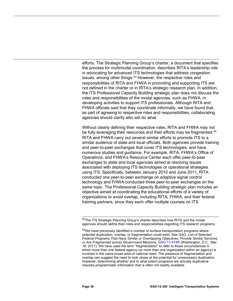efforts. The Strategic Planning Group's charter, a document that specifies the process for multimodal coordination, describes RITA's leadership role in advocating for advanced ITS technologies that address congestion issues, among other things.<sup>[63](#page-42-0)</sup> However, the respective roles and responsibilities of RITA and FHWA in promoting and supporting ITS are not defined in the charter or in RITA's strategic research plan. In addition, the ITS Professional Capacity Building strategic plan does not discuss the roles and responsibilities of the modal agencies, such as FHWA, in developing activities to support ITS professionals. Although RITA and FHWA officials said that they coordinate informally, we have found that, as part of agreeing to respective roles and responsibilities, collaborating agencies should clarify who will do what.

Without clearly defining their respective roles, RITA and FHWA may not be fully leveraging their resources and their efforts may be fragmented.<sup>[64](#page-42-1)</sup> RITA and FHWA carry out several similar efforts to promote ITS to a similar audience of state and local officials. Both agencies provide training and peer-to-peer exchanges that cover ITS technologies, and have numerous studies and guidance. For example, RITA, FHWA's Office of Operations, and FHWA's Resource Center each offer peer-to-peer exchanges to state and local agencies aimed at resolving issues associated with deploying ITS technologies or operational strategies using ITS. Specifically, between January 2010 and June 2011, RITA conducted one peer-to-peer exchange on adaptive signal control technology and FHWA conducted three peer-to-peer exchanges on the same topic. The Professional Capacity Building strategic plan includes an objective aimed at coordinating the educational efforts of a variety of organizations to avoid overlap, including RITA, FHWA, and their federal training partners, since they each offer multiple courses on ITS

<span id="page-42-0"></span> $\overline{a}$ 63The ITS Strategic Planning Group's charter describes how RITA and the modal agencies should define their roles and responsibilities regarding ITS research programs.

<span id="page-42-1"></span> $64$ We have previously identified a number of surface transportation programs where potential duplication, overlap, or fragmentation could exist. See GAO, *List of Selected Federal Programs That Have Similar or Overlapping Objectives, Provide Similar Services, or Are Fragmented across Government Missions,* [GAO-11-474R](http://www.gao.gov/products/GAO-11-474R) (Washington, D.C.: Mar. 18, 2011). We have used the term "fragmentation" to refer to those circumstances in which more than one federal agency (or more than one organization within an agency) is involved in the same broad area of national need. The presence of fragmentation and overlap can suggest the need to look closer at the potential for unnecessary duplication. However, determining whether and to what extent programs are actually duplicative requires programmatic information that is often not readily available.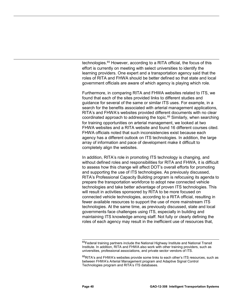technologies.<sup>[65](#page-43-0)</sup> However, according to a RITA official, the focus of this effort is currently on meeting with select universities to identify the learning providers. One expert and a transportation agency said that the roles of RITA and FHWA should be better defined so that state and local government officials are aware of which agency is playing which role.

Furthermore, in comparing RITA and FHWA websites related to ITS, we found that each of the sites provided links to different studies and guidance for several of the same or similar ITS uses. For example, in a search for the benefits associated with arterial management applications, RITA's and FHWA's websites provided different documents with no clear coordinated approach to addressing the topic. [66](#page-43-1) Similarly, when searching for training opportunities on arterial management, we looked at two FHWA websites and a RITA website and found 16 different courses cited. FHWA officials noted that such inconsistencies exist because each agency has a different outlook on ITS technologies. In addition, the large array of information and pace of development make it difficult to completely align the websites.

In addition, RITA's role in promoting ITS technology is changing, and without defined roles and responsibilities for RITA and FHWA, it is difficult to assess how this change will affect DOT's overall efforts for promoting and supporting the use of ITS technologies. As previously discussed, RITA's Professional Capacity Building program is refocusing its agenda to prepare the transportation workforce to adopt new connected vehicle technologies and take better advantage of proven ITS technologies. This will result in activities sponsored by RITA to be more focused on connected vehicle technologies, according to a RITA official, resulting in fewer available resources to support the use of more mainstream ITS technologies. At the same time, as previously discussed, state and local governments face challenges using ITS, especially in building and maintaining ITS knowledge among staff. Not fully or clearly defining the roles of each agency may result in the inefficient use of resources that,

<span id="page-43-0"></span> $\overline{a}$ <sup>65</sup>Federal training partners include the National Highway Institute and National Transit Institute. In addition, RITA and FHWA also work with other training providers, such as universities, professional associations, and private sector vendors of ITS.

<span id="page-43-1"></span> $^{66}$ RITA's and FHWA's websites provide some links to each other's ITS resources, such as between FHWA's Arterial Management program and Adaptive Signal Control Technologies program and RITA's ITS databases.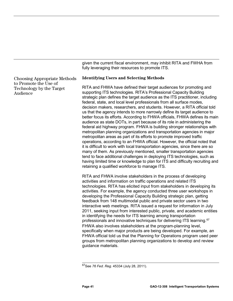given the current fiscal environment, may inhibit RITA and FWHA from fully leveraging their resources to promote ITS.

Choosing Appropriate Methods to Promote the Use of Technology by the Target Audience

#### **Identifying Users and Selecting Methods**

RITA and FHWA have defined their target audiences for promoting and supporting ITS technologies. RITA's Professional Capacity Building strategic plan defines the target audience as the ITS practitioner, including federal, state, and local level professionals from all surface modes, decision makers, researchers, and students. However, a RITA official told us that the agency intends to more narrowly define its target audience to better focus its efforts. According to FHWA officials, FHWA defines its main audience as state DOTs, in part because of its role in administering the federal aid highway program. FHWA is building stronger relationships with metropolitan planning organizations and transportation agencies in major metropolitan areas as part of its efforts to promote improved traffic operations, according to an FHWA official. However, the official noted that it is difficult to work with local transportation agencies, since there are so many of them. As previously mentioned, smaller transportation agencies tend to face additional challenges in deploying ITS technologies, such as having limited time or knowledge to plan for ITS and difficulty recruiting and retaining a qualified workforce to manage ITS.

RITA and FHWA involve stakeholders in the process of developing activities and information on traffic operations and related ITS technologies. RITA has elicited input from stakeholders in developing its activities. For example, the agency conducted three user workshops in developing the Professional Capacity Building strategic plan, getting feedback from 148 multimodal public and private sector users in two interactive web meetings. RITA issued a request for information in July 2011, seeking input from interested public, private, and academic entities in identifying the needs for ITS learning among transportation professionals and innovative techniques for delivering ITS learning.[67](#page-44-0) FHWA also involves stakeholders at the program-planning level, specifically when major products are being developed. For example, an FHWA official told us that the Planning for Operations program used peer groups from metropolitan planning organizations to develop and review guidance materials.

<span id="page-44-0"></span> $\overline{\phantom{a}}$ 67See *76 Fed. Reg.* 45334 (July 28, 2011).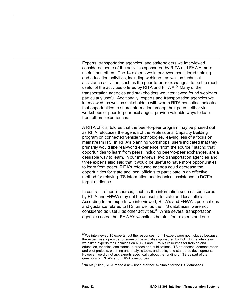Experts, transportation agencies, and stakeholders we interviewed considered some of the activities sponsored by RITA and FHWA more useful than others. The 14 experts we interviewed considered training and education activities, including webinars, as well as technical assistance activities, such as the peer-to-peer exchanges, to be the most useful of the activities offered by RITA and FHWA.<sup>[68](#page-45-0)</sup> Many of the transportation agencies and stakeholders we interviewed found webinars particularly useful. Additionally, experts and transportation agencies we interviewed, as well as stakeholders with whom RITA consulted indicated that opportunities to share information among their peers, either via workshops or peer-to-peer exchanges, provide valuable ways to learn from others' experiences.

A RITA official told us that the peer-to-peer program may be phased out as RITA refocuses the agenda of the Professional Capacity Building program on connected vehicle technologies, leaving less of a focus on mainstream ITS. In RITA's planning workshops, users indicated that they primarily would like real-world experience "from the source," stating that opportunities to learn from peers, including peer-to-peer exchanges, are a desirable way to learn. In our interviews, two transportation agencies and three experts also said that it would be useful to have more opportunities to learn from peers. RITA's refocused agenda could decrease the opportunities for state and local officials to participate in an effective method for relaying ITS information and technical assistance to DOT's target audience.

In contrast, other resources, such as the information sources sponsored by RITA and FHWA may not be as useful to state and local officials. According to the experts we interviewed, RITA's and FHWA's publications and guidance related to ITS, as well as the ITS databases, were not considered as useful as other activities.<sup>[69](#page-45-1)</sup> While several transportation agencies noted that FHWA's website is helpful, four experts and one

 $\overline{\phantom{a}}$ 

<span id="page-45-0"></span> $^{68}$ We interviewed 15 experts, but the responses from 1 expert were not included because the expert was a provider of some of the activities sponsored by DOT. In the interviews, we asked experts their opinions on RITA's and FHWA's resources for training and education, technical assistance, outreach and publications, ITS databases, demonstration and pilot projects, planning and analysis tools, and policy and standards development. However, we did not ask experts specifically about the funding of ITS as part of the questions on RITA's and FHWA's resources.

<span id="page-45-1"></span> $^{69}$ In Mav 2011, RITA made a new user interface available for the ITS databases.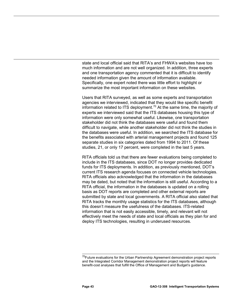state and local official said that RITA's and FHWA's websites have too much information and are not well organized. In addition, three experts and one transportation agency commented that it is difficult to identify needed information given the amount of information available. Specifically, one expert noted there was little effort to highlight or summarize the most important information on these websites.

Users that RITA surveyed, as well as some experts and transportation agencies we interviewed, indicated that they would like specific benefit information related to ITS deployment.<sup>[70](#page-46-0)</sup> At the same time, the majority of experts we interviewed said that the ITS databases housing this type of information were only somewhat useful. Likewise, one transportation stakeholder did not think the databases were useful and found them difficult to navigate, while another stakeholder did not think the studies in the databases were useful. In addition, we searched the ITS database for the benefits associated with arterial management projects and found 125 separate studies in six categories dated from 1994 to 2011. Of these studies, 21, or only 17 percent, were completed in the last 5 years.

RITA officials told us that there are fewer evaluations being completed to include in the ITS databases, since DOT no longer provides dedicated funds for ITS deployments. In addition, as previously mentioned, DOT's current ITS research agenda focuses on connected vehicle technologies. RITA officials also acknowledged that the information in the databases may be dated, but noted that the information is still useful. According to a RITA official, the information in the databases is updated on a rolling basis as DOT reports are completed and other external reports are submitted by state and local governments. A RITA official also stated that RITA tracks the monthly usage statistics for the ITS databases, although this doesn't measure the usefulness of the databases. ITS-related information that is not easily accessible, timely, and relevant will not effectively meet the needs of state and local officials as they plan for and deploy ITS technologies, resulting in underused resources.

 $\overline{a}$ 

<span id="page-46-0"></span><sup>&</sup>lt;sup>70</sup>Future evaluations for the Urban Partnership Agreement demonstration project reports and the Integrated Corridor Management demonstration project reports will feature benefit-cost analyses that fulfill the Office of Management and Budget's guidance.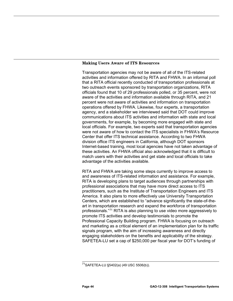#### **Making Users Aware of ITS Resources**

Transportation agencies may not be aware of all of the ITS-related activities and information offered by RITA and FHWA. In an informal poll that a RITA official recently conducted of transportation professionals at two outreach events sponsored by transportation organizations, RITA officials found that 10 of 29 professionals polled, or 35 percent, were not aware of the activities and information available through RITA, and 21 percent were not aware of activities and information on transportation operations offered by FHWA. Likewise, four experts, a transportation agency, and a stakeholder we interviewed said that DOT could improve communications about ITS activities and information with state and local governments, for example, by becoming more engaged with state and local officials. For example, two experts said that transportation agencies were not aware of how to contact the ITS specialists in FHWA's Resource Center that offer ITS technical assistance. According to two FHWA division office ITS engineers in California, although DOT sponsors Internet-based training, most local agencies have not taken advantage of these activities. An FHWA official also acknowledged that it is difficult to match users with their activities and get state and local officials to take advantage of the activities available.

RITA and FHWA are taking some steps currently to improve access to and awareness of ITS-related information and assistance. For example, RITA is developing plans to target audiences through partnerships with professional associations that may have more direct access to ITS practitioners, such as the Institute of Transportation Engineers and ITS America. It also plans to more effectively use University Transportation Centers, which are established to "advance significantly the state-of-theart in transportation research and expand the workforce of transportation professionals."[71](#page-47-0) RITA is also planning to use video more aggressively to promote ITS activities and develop testimonials to promote the Professional Capacity Building program. FHWA is focusing on outreach and marketing as a critical element of an implementation plan for its traffic signals program, with the aim of increasing awareness and directly engaging stakeholders on the benefits and applicability of the strategy. SAFETEA-LU set a cap of \$250,000 per fiscal year for DOT's funding of

<span id="page-47-0"></span> $\overline{a}$ <sup>71</sup>SAFETEA-LU §5402(a) (49 USC 5506(b)).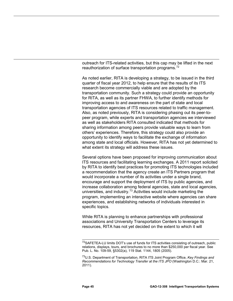outreach for ITS-related activities, but this cap may be lifted in the next reauthorization of surface transportation programs.<sup>[72](#page-48-0)</sup>

As noted earlier, RITA is developing a strategy, to be issued in the third quarter of fiscal year 2012, to help ensure that the results of its ITS research become commercially viable and are adopted by the transportation community. Such a strategy could provide an opportunity for RITA, as well as its partner FHWA, to further identify methods for improving access to and awareness on the part of state and local transportation agencies of ITS resources related to traffic management. Also, as noted previously, RITA is considering phasing out its peer-topeer program, while experts and transportation agencies we interviewed as well as stakeholders RITA consulted indicated that methods for sharing information among peers provide valuable ways to learn from others' experiences. Therefore, this strategy could also provide an opportunity to identify ways to facilitate the exchange of information among state and local officials. However, RITA has not yet determined to what extent its strategy will address these issues.

Several options have been proposed for improving communication about ITS resources and facilitating learning exchanges. A 2011 report solicited by RITA to identify best practices for promoting ITS technologies included a recommendation that the agency create an ITS Partners program that would incorporate a number of its activities under a single brand, encourage and support the deployment of ITS by public agencies, and increase collaboration among federal agencies, state and local agencies, universities, and industry.<sup>[73](#page-48-1)</sup> Activities would include marketing the program, implementing an interactive website where agencies can share experiences, and establishing networks of individuals interested in specific topics.

While RITA is planning to enhance partnerships with professional associations and University Transportation Centers to leverage its resources, RITA has not yet decided on the extent to which it will

<span id="page-48-0"></span> $\overline{a}$ <sup>72</sup>SAFETEA-LU limits DOT's use of funds for ITS activities consisting of outreach, public relations, displays, tours, and brochures to no more than \$250,000 per fiscal year. See Pub. L. No. 109-59, §5302(a), 119 Stat. 1144, 1805 (2005).

<span id="page-48-1"></span><sup>73</sup>U.S. Department of Transportation, RITA ITS Joint Program Office, *Key Findings and Recommendations for Technology Transfer at the ITS JPO* (Washington D.C.: Mar. 21, 2011).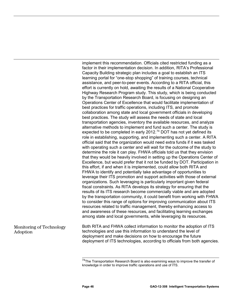implement this recommendation. Officials cited restricted funding as a factor in their implementation decision. In addition, RITA's Professional Capacity Building strategic plan includes a goal to establish an ITS learning portal for "one-stop shopping" of training courses, technical assistance, and peer-to-peer events. According to a RITA official, this effort is currently on hold, awaiting the results of a National Cooperative Highway Research Program study. This study, which is being conducted by the Transportation Research Board, is focusing on designing an Operations Center of Excellence that would facilitate implementation of best practices for traffic operations, including ITS, and promote collaboration among state and local government officials in developing best practices. The study will assess the needs of state and local transportation agencies, inventory the available resources, and analyze alternative methods to implement and fund such a center. The study is expected to be completed in early 2012.<sup>[74](#page-49-0)</sup> DOT has not yet defined its role in establishing, supporting, and implementing such a center. A RITA official said that the organization would need extra funds if it was tasked with operating such a center and will wait for the outcome of the study to determine the role it can play. FHWA officials told us that they envision that they would be heavily involved in setting up the Operations Center of Excellence, but would prefer that it not be funded by DOT. Participation in this effort, if and when it is implemented, could allow both RITA and FHWA to identify and potentially take advantage of opportunities to leverage their ITS promotion and support activities with those of external organizations. Such leveraging is particularly important given federal fiscal constraints. As RITA develops its strategy for ensuring that the results of its ITS research become commercially viable and are adopted by the transportation community, it could benefit from working with FHWA to consider this range of options for improving communication about ITS resources related to traffic management, thereby enhancing access to and awareness of these resources, and facilitating learning exchanges among state and local governments, while leveraging its resources.

<span id="page-49-0"></span>Both RITA and FHWA collect information to monitor the adoption of ITS technologies and use this information to understand the level of deployment and make decisions on how to encourage the future deployment of ITS technologies, according to officials from both agencies. Monitoring of Technology Adoption

 $\overline{a}$ <sup>74</sup>The Transportation Research Board is also examining ways to improve the transfer of knowledge in order to improve traffic operations and use of ITS.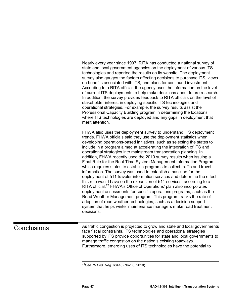Nearly every year since 1997, RITA has conducted a national survey of state and local government agencies on the deployment of various ITS technologies and reported the results on its website. The deployment survey also gauges the factors affecting decisions to purchase ITS, views on benefits associated with ITS, and plans for continued investment. According to a RITA official, the agency uses the information on the level of current ITS deployments to help make decisions about future research. In addition, the survey provides feedback to RITA officials on the level of stakeholder interest in deploying specific ITS technologies and operational strategies. For example, the survey results assist the Professional Capacity Building program in determining the locations where ITS technologies are deployed and any gaps in deployment that merit attention.

FHWA also uses the deployment survey to understand ITS deployment trends. FHWA officials said they use the deployment statistics when developing operations-based initiatives, such as selecting the states to include in a program aimed at accelerating the integration of ITS and operational strategies into mainstream transportation planning. In addition, FHWA recently used the 2010 survey results when issuing a Final Rule for the Real-Time System Management Information Program, which requires states to establish programs to collect traffic and travel information. The survey was used to establish a baseline for the deployment of 511 traveler information services and determine the effect this rule would have on the expansion of 511 services, according to a RITA official.<sup>[75](#page-50-1)</sup> FHWA's Office of Operations' plan also incorporates deployment assessments for specific operations programs, such as the Road Weather Management program. This program tracks the rate of adoption of road weather technologies, such as a decision support system that helps winter maintenance managers make road treatment decisions.

## <span id="page-50-1"></span><span id="page-50-0"></span>**Conclusions**

As traffic congestion is projected to grow and state and local governments face fiscal constraints, ITS technologies and operational strategies supported by ITS provide opportunities for state and local governments to manage traffic congestion on the nation's existing roadways. Furthermore, emerging uses of ITS technologies have the potential to

 $\overline{a}$ 75See 75 *Fed. Reg*. 68418 (Nov. 8, 2010).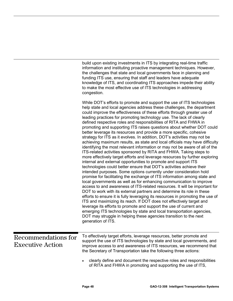<span id="page-51-0"></span>

|                                                       | build upon existing investments in ITS by integrating real-time traffic<br>information and instituting proactive management techniques. However,<br>the challenges that state and local governments face in planning and<br>funding ITS use, ensuring that staff and leaders have adequate<br>knowledge of ITS, and coordinating ITS approaches impede their ability<br>to make the most effective use of ITS technologies in addressing<br>congestion.                                                                                                                                                                                                                                                                                                                                                                                                                                                                                                                                                                                                                                                                                                                                                                                                                                                                                                                                                                                                                                                                                                                                                                                                                                                                                                                                                                                               |
|-------------------------------------------------------|-------------------------------------------------------------------------------------------------------------------------------------------------------------------------------------------------------------------------------------------------------------------------------------------------------------------------------------------------------------------------------------------------------------------------------------------------------------------------------------------------------------------------------------------------------------------------------------------------------------------------------------------------------------------------------------------------------------------------------------------------------------------------------------------------------------------------------------------------------------------------------------------------------------------------------------------------------------------------------------------------------------------------------------------------------------------------------------------------------------------------------------------------------------------------------------------------------------------------------------------------------------------------------------------------------------------------------------------------------------------------------------------------------------------------------------------------------------------------------------------------------------------------------------------------------------------------------------------------------------------------------------------------------------------------------------------------------------------------------------------------------------------------------------------------------------------------------------------------------|
|                                                       | While DOT's efforts to promote and support the use of ITS technologies<br>help state and local agencies address these challenges, the department<br>could improve the effectiveness of these efforts through greater use of<br>leading practices for promoting technology use. The lack of clearly<br>defined respective roles and responsibilities of RITA and FHWA in<br>promoting and supporting ITS raises questions about whether DOT could<br>better leverage its resources and provide a more specific, cohesive<br>strategy for ITS as it evolves. In addition, DOT's activities may not be<br>achieving maximum results, as state and local officials may have difficulty<br>identifying the most relevant information or may not be aware of all of the<br>ITS-related activities sponsored by RITA and FHWA. Taking steps to<br>more effectively target efforts and leverage resources by further exploring<br>internal and external opportunities to promote and support ITS<br>technologies could better ensure that DOT's activities achieve their<br>intended purposes. Some options currently under consideration hold<br>promise for facilitating the exchange of ITS information among state and<br>local governments as well as for enhancing communication to improve<br>access to and awareness of ITS-related resources. It will be important for<br>DOT to work with its external partners and determine its role in these<br>efforts to ensure it is fully leveraging its resources in promoting the use of<br>ITS and maximizing its reach. If DOT does not effectively target and<br>leverage its efforts to promote and support the use of current and<br>emerging ITS technologies by state and local transportation agencies,<br>DOT may struggle in helping these agencies transition to the next<br>generation of ITS. |
| <b>Recommendations for</b><br><b>Executive Action</b> | To effectively target efforts, leverage resources, better promote and<br>support the use of ITS technologies by state and local governments, and<br>improve access to and awareness of ITS resources, we recommend that<br>the Secretary of Transportation take the following three actions:                                                                                                                                                                                                                                                                                                                                                                                                                                                                                                                                                                                                                                                                                                                                                                                                                                                                                                                                                                                                                                                                                                                                                                                                                                                                                                                                                                                                                                                                                                                                                          |
|                                                       | clearly define and document the respective roles and responsibilities<br>of RITA and FHWA in promoting and supporting the use of ITS,                                                                                                                                                                                                                                                                                                                                                                                                                                                                                                                                                                                                                                                                                                                                                                                                                                                                                                                                                                                                                                                                                                                                                                                                                                                                                                                                                                                                                                                                                                                                                                                                                                                                                                                 |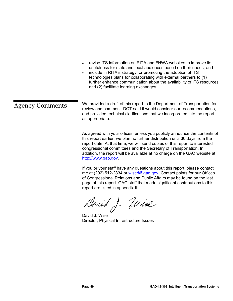<span id="page-52-0"></span>

|                        | revise ITS information on RITA and FHWA websites to improve its<br>usefulness for state and local audiences based on their needs, and<br>include in RITA's strategy for promoting the adoption of ITS<br>technologies plans for collaborating with external partners to (1)<br>further enhance communication about the availability of ITS resources<br>and (2) facilitate learning exchanges.                  |
|------------------------|-----------------------------------------------------------------------------------------------------------------------------------------------------------------------------------------------------------------------------------------------------------------------------------------------------------------------------------------------------------------------------------------------------------------|
| <b>Agency Comments</b> | We provided a draft of this report to the Department of Transportation for<br>review and comment. DOT said it would consider our recommendations.<br>and provided technical clarifications that we incorporated into the report<br>as appropriate.                                                                                                                                                              |
|                        | As agreed with your offices, unless you publicly announce the contents of<br>this report earlier, we plan no further distribution until 30 days from the<br>report date. At that time, we will send copies of this report to interested<br>congressional committees and the Secretary of Transportation. In<br>addition, the report will be available at no charge on the GAO website at<br>http://www.gao.gov. |

If you or your staff have any questions about this report, please contact me at (202) 512-2834 or [wised@gao.gov.](mailto:wised@gao.gov) Contact points for our Offices of Congressional Relations and Public Affairs may be found on the last page of this report. GAO staff that made significant contributions to this report are listed in appendix III.

David J. Wise

David J. Wise Director, Physical Infrastructure Issues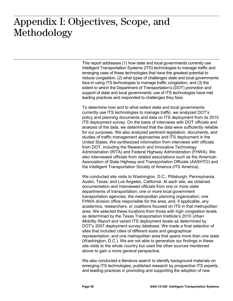## <span id="page-53-0"></span> $: \bullet \bullet \bullet \bullet \bullet \bullet \bullet \bullet \bullet \bullet \bullet \bullet$ Appendix I: Objectives, Scope, and Methodology

This report addresses (1) how state and local governments currently use Intelligent Transportation Systems (ITS) technologies to manage traffic and emerging uses of these technologies that have the greatest potential to reduce congestion, (2) what types of challenges state and local governments face in using ITS technologies to manage traffic congestion, and (3) the extent to which the Department of Transportation's (DOT) promotion and support of state and local governments' use of ITS technologies have met leading practices and responded to challenges they face.

To determine how and to what extent state and local governments currently use ITS technologies to manage traffic, we analyzed DOT's policy and planning documents and data on ITS deployment from its 2010 ITS deployment survey. On the basis of interviews with DOT officials and analysis of the data, we determined that the data were sufficiently reliable for our purposes. We also analyzed pertinent legislation, documents, and studies of traffic management approaches and ITS deployment in the United States. We synthesized information from interviews with officials from DOT, including the Research and Innovative Technology Administration (RITA) and Federal Highway Administration (FHWA). We also interviewed officials from related associations such as the American Association of State Highway and Transportation Officials (AASHTO) and the Intelligent Transportation Society of America (ITS America).

We conducted site visits to Washington, D.C.; Pittsburgh, Pennsylvania; Austin, Texas; and Los Angeles, California. At each site, we obtained documentation and interviewed officials from one or more state departments of transportation; one or more local government transportation agencies; the metropolitan planning organization; one FHWA division office responsible for the area; and, if applicable, any academics, researchers, or coalitions focused on ITS in that metropolitan area. We selected these locations from those with high congestion levels as determined by the Texas Transportation Institute's 2010 *Urban Mobility Report* and varied ITS deployment levels as determined by DOT's 2007 deployment survey database. We made a final selection of sites that included cities of different sizes and geographical representation, and one metropolitan area that spans more than one state (Washington, D.C.). We are not able to generalize our findings in these site visits to the whole country but used the other sources mentioned above to gain a more general perspective.

We also conducted a literature search to identify background materials on emerging ITS technologies, published research by prospective ITS experts, and leading practices in promoting and supporting the adoption of new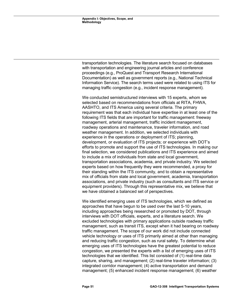transportation technologies. The literature search focused on databases with transportation and engineering journal articles and conference proceedings (e.g., ProQuest and Transport Research International Documentation) as well as government reports (e.g., National Technical Information Service). The search terms used were related to using ITS for managing traffic congestion (e.g., incident response management).

We conducted semistructured interviews with 15 experts, whom we selected based on recommendations from officials at RITA, FHWA, AASHTO, and ITS America using several criteria. The primary requirement was that each individual have expertise in at least one of the following ITS fields that are important for traffic management: freeway management, arterial management, traffic incident management, roadway operations and maintenance, traveler information, and road weather management. In addition, we selected individuals with experience in the operations or deployment of ITS; planning, development, or evaluation of ITS projects; or experience with DOT's efforts to promote and support the use of ITS technologies. In making our final selection, we considered publications and ITS experience and aimed to include a mix of individuals from state and local government, transportation associations, academia, and private industry. We selected experts based on how frequently they were recommended, a proxy for their standing within the ITS community, and to obtain a representative mix of officials from state and local government, academia, transportation associations, and private industry (such as consultants and ITS service or equipment providers). Through this representative mix, we believe that we have obtained a balanced set of perspectives.

We identified emerging uses of ITS technologies, which we defined as approaches that have begun to be used over the last 5-10 years, including approaches being researched or promoted by DOT, through interviews with DOT officials, experts, and a literature search. We excluded technologies with primary applications outside roadway traffic management, such as transit ITS, except when it had bearing on roadway traffic management. The scope of our work did not include connected vehicle technology or uses of ITS primarily aimed at other than managing and reducing traffic congestion, such as rural safety. To determine what emerging uses of ITS technologies have the greatest potential to reduce congestion, we presented the experts with a list of emerging uses of ITS technologies that we identified. This list consisted of (1) real-time data capture, sharing, and management; (2) real-time traveler information; (3) integrated corridor management; (4) active transportation and demand management; (5) enhanced incident response management; (6) weather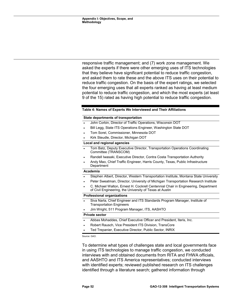responsive traffic management; and (7) work zone management. We asked the experts if there were other emerging uses of ITS technologies that they believe have significant potential to reduce traffic congestion, and asked them to rate these and the above ITS uses on their potential to reduce traffic congestion. On the basis of the expert ratings, we selected the four emerging uses that all experts ranked as having at least medium potential to reduce traffic congestion, and which the most experts (at least 9 of the 15) rated as having high potential to reduce traffic congestion.

#### <span id="page-55-0"></span>**Table 4: Names of Experts We Interviewed and Their Affiliations**

#### **State departments of transportation**

- John Corbin, Director of Traffic Operations, Wisconsin DOT
- Bill Legg, State ITS Operations Engineer, Washington State DOT
- Tom Sorel, Commissioner, Minnesota DOT
- Kirk Steudle, Director, Michigan DOT

#### **Local and regional agencies**

- Tom Batz, Deputy Executive Director, Transportation Operations Coordinating Committee (TRANSCOM)
- Randell Iwasaki, Executive Director, Contra Costa Transportation Authority
- Andy Mao, Chief Traffic Engineer, Harris County, Texas, Public Infrastructure Department

#### **Academia**

- Stephen Albert, Director, Western Transportation Institute, Montana State University
- Peter Sweatman, Director, University of Michigan Transportation Research Institute
- C. Michael Walton, Ernest H. Cockrell Centennial Chair in Engineering, Department of Civil Engineering, the University of Texas at Austin

#### **Professional organizations**

- Siva Narla, Chief Engineer and ITS Standards Program Manager, Institute of Transportation Engineers
- Jim Wright, 511 Program Manager, ITS, AASHTO

#### **Private sector**

- Abbas Mohaddes, Chief Executive Officer and President, Iteris, Inc.
- Robert Rausch, Vice President ITS Division, TransCore
- Ted Trepanier, Executive Director, Public Sector, INRIX

Source: GAO.

To determine what types of challenges state and local governments face in using ITS technologies to manage traffic congestion, we conducted interviews with and obtained documents from RITA and FHWA officials, and AASHTO and ITS America representatives; conducted interviews with identified experts; reviewed published research on ITS challenges identified through a literature search; gathered information through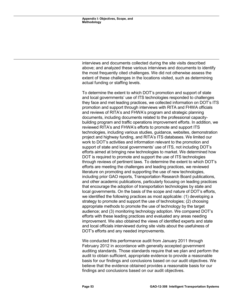interviews and documents collected during the site visits described above; and analyzed these various interviews and documents to identify the most frequently cited challenges. We did not otherwise assess the extent of these challenges in the locations visited, such as determining actual funding or staffing levels.

To determine the extent to which DOT's promotion and support of state and local governments' use of ITS technologies responded to challenges they face and met leading practices, we collected information on DOT's ITS promotion and support through interviews with RITA and FHWA officials and reviews of RITA's and FHWA's program and strategic planning documents, including documents related to the professional capacitybuilding program and traffic operations improvement efforts. In addition, we reviewed RITA's and FHWA's efforts to promote and support ITS technologies, including various studies, guidance, websites, demonstration project and highway funding, and RITA's ITS databases. We limited our work to DOT's activities and information relevant to the promotion and support of state and local governments' use of ITS, not including DOT's efforts aimed at bringing new technologies to market. We determined how DOT is required to promote and support the use of ITS technologies through reviews of pertinent laws. To determine the extent to which DOT's efforts are meeting the challenges and leading practices, we reviewed literature on promoting and supporting the use of new technologies, including prior GAO reports, Transportation Research Board publications, and other academic publications, particularly focusing on leading practices that encourage the adoption of transportation technologies by state and local governments. On the basis of the scope and nature of DOT's efforts, we identified the following practices as most applicable: (1) developing a strategy to promote and support the use of technologies; (2) choosing appropriate methods to promote the use of technology by the target audience; and (3) monitoring technology adoption. We compared DOT's efforts with these leading practices and evaluated any areas needing improvement. We also obtained the views of identified experts and state and local officials interviewed during site visits about the usefulness of DOT's efforts and any needed improvements.

We conducted this performance audit from January 2011 through February 2012 in accordance with generally accepted government auditing standards. Those standards require that we plan and perform the audit to obtain sufficient, appropriate evidence to provide a reasonable basis for our findings and conclusions based on our audit objectives. We believe that the evidence obtained provides a reasonable basis for our findings and conclusions based on our audit objectives.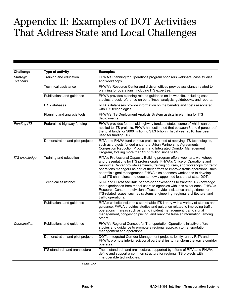## <span id="page-57-0"></span> $\mathbf{L}\text{arcc}$   $\mathbf{L}\text{arcc}$  of DOT Appendix II: Examples of DOT Activities That Address State and Local Challenges

| <b>Challenge</b>             | Type of activity                 | <b>Examples</b>                                                                                                                                                                                                                                                                                                                                                                                                                                                               |
|------------------------------|----------------------------------|-------------------------------------------------------------------------------------------------------------------------------------------------------------------------------------------------------------------------------------------------------------------------------------------------------------------------------------------------------------------------------------------------------------------------------------------------------------------------------|
| <b>Strategic</b><br>planning | Training and education           | FHWA's Planning for Operations program sponsors webinars, case studies,<br>and workshops.                                                                                                                                                                                                                                                                                                                                                                                     |
|                              | Technical assistance             | FHWA's Resource Center and division offices provide assistance related to<br>planning for operations, including ITS expertise.                                                                                                                                                                                                                                                                                                                                                |
|                              | Publications and guidance        | FHWA provides planning-related guidance on its website, including case<br>studies, a desk reference on benefit/cost analysis, guidebooks, and reports.                                                                                                                                                                                                                                                                                                                        |
|                              | <b>ITS databases</b>             | RITA's databases provide information on the benefits and costs associated<br>with ITS technologies.                                                                                                                                                                                                                                                                                                                                                                           |
|                              | Planning and analysis tools      | FHWA's ITS Deployment Analysis System assists in planning for ITS<br>deployments.                                                                                                                                                                                                                                                                                                                                                                                             |
| Funding ITS                  | Federal aid highway funding      | FHWA provides federal aid highway funds to states, some of which can be<br>applied to ITS projects. FHWA has estimated that between 3 and 5 percent of<br>the total funds, or \$800 million to \$1.3 billion in fiscal year 2010, has been<br>used for funding ITS.                                                                                                                                                                                                           |
|                              | Demonstration and pilot projects | RITA and FHWA fund various projects aimed at applying ITS technologies,<br>such as projects funded under the Urban Partnership Agreements,<br>Congestion Reduction Program, and Integrated Corridor Management<br>Program, totaling more than \$177 million since 2005.                                                                                                                                                                                                       |
| <b>ITS</b> knowledge         | Training and education           | RITA's Professional Capacity Building program offers webinars, workshops,<br>and presentations for ITS professionals. FHWA's Office of Operations and<br>Resource Center provide seminars, training courses, and workshops for traffic<br>operations managers as part of their efforts to improve traffic operations, such<br>as traffic signal management. FHWA also sponsors workshops to develop<br>local ITS champions and educate newly appointed leaders at state DOTs. |
|                              | <b>Technical assistance</b>      | RITA and FHWA facilitate peer-to-peer exchanges to transfer ITS knowledge<br>and experiences from model users to agencies with less experience. FHWA's<br>Resource Center and division offices provide assistance and guidance on<br>ITS-related issues, such as systems engineering, regional architecture, and<br>traffic operations.                                                                                                                                       |
|                              | Publications and guidance        | RITA's website includes a searchable ITS library with a variety of studies and<br>guidance. FHWA provides studies and guidance related to improving traffic<br>operations in areas such as traffic incident management, traffic signal<br>management, congestion pricing, and real-time traveler information, among<br>others.                                                                                                                                                |
| Coordination                 | Publications and guidance        | FHWA's Regional Concept for Transportation Operations initiative offers<br>studies and guidance to promote a regional approach to transportation<br>management and operations                                                                                                                                                                                                                                                                                                 |
|                              | Demonstration and pilot projects | DOT's Integrated Corridor Management projects, jointly run by RITA and<br>FHWA, promote interjurisdictional partnerships to transform the way a corridor<br>operates.                                                                                                                                                                                                                                                                                                         |
|                              | ITS standards and architecture   | These standards and architecture, supported by efforts of RITA and FHWA,<br>define and support a common structure for regional ITS projects with<br>interoperable technologies.                                                                                                                                                                                                                                                                                               |

Source: GAO.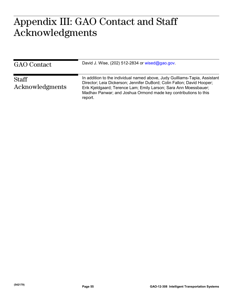## <span id="page-58-0"></span> $\Lambda \cap \Gamma$  or  $\pm$  of Appendix III: GAO Contact and Staff Acknowledgments

| GAO Contact                     | David J. Wise, $(202)$ 512-2834 or wised@gao.gov.                                                                                                                                                                                                                                                      |
|---------------------------------|--------------------------------------------------------------------------------------------------------------------------------------------------------------------------------------------------------------------------------------------------------------------------------------------------------|
| <b>Staff</b><br>Acknowledgments | In addition to the individual named above, Judy Guilliams-Tapia, Assistant<br>Director; Leia Dickerson; Jennifer DuBord; Colin Fallon; David Hooper;<br>Erik Kjeldgaard; Terence Lam; Emily Larson; Sara Ann Moessbauer;<br>Madhav Panwar; and Joshua Ormond made key contributions to this<br>report. |